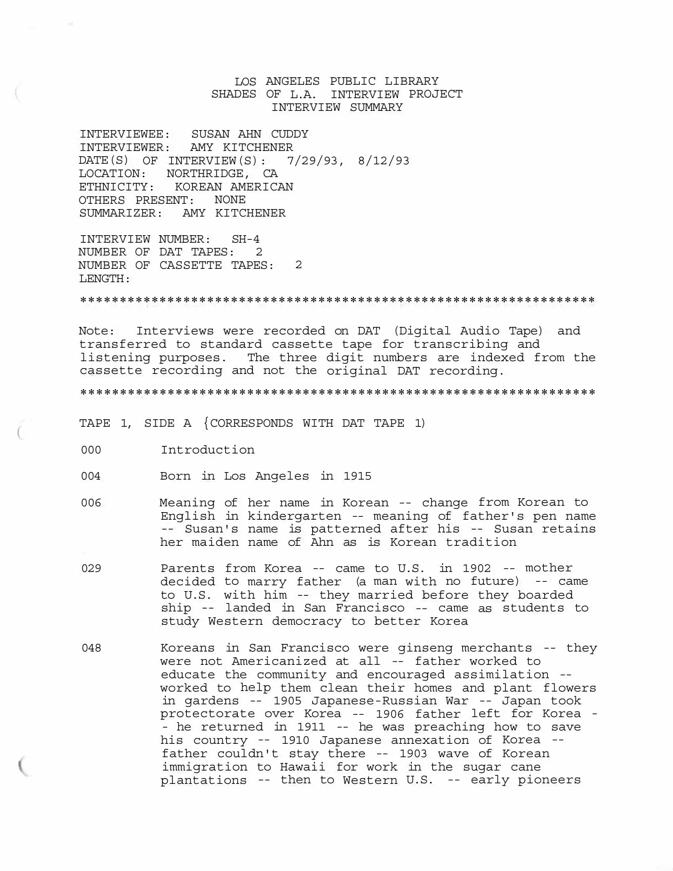# LOS ANGELES PUBLIC LIBRARY SHADES OF L.A. INTERVIEW PROJECT INTERVIEW SUMMARY

INTERVIEWEE: SUSAN AHN CUDDY INTERVIEWER: AMY KITCHENER DATE(S) OF INTERVIEW(S): 7/29/93, 8/12/93 LOCATION: NORTHRIDGE, CA ETHNICITY: KOREAN AMERICAN OTHERS PRESENT: NONE SUMMARIZER: AMY KITCHENER

INTERVIEW NUMBER: SH-4 NUMBER OF DAT TAPES: 2 NUMBER OF CASSETTE TAPES: 2 LENGTH:

\*\*\*\*\*\*\*\*\*\*\*\*\*\*\*\*\*\*\*\*\*\*\*\*\*\*\*\*\*\*\*\*\*\*\*\*\*\*\*\*\*\*\*\*\*\*\*\*\*\*\*\*\*\*\*\*\*\*\*\*\*\*\*\*\*

Note: Interviews were recorded on DAT (Digital Audio Tape) and transferred to standard cassette tape for transcribing and listening purposes. The three digit numbers are indexed from the cassette recording and not the original DAT recording.

\*\*\*\*\*\*\*\*\*\*\*\*\*\*\*\*\*\*\*\*\*\*\*\*\*\*\*\*\*\*\*\*\*\*\*\*\*\*\*\*\*\*\*\*\*\*\*\*\*\*\*\*\*\*\*\*\*\*\*\*\*\*\*\*\*

- TAPE 1, SIDE A {CORRESPONDS WITH DAT TAPE 1) (
- 000 Introduction
- 004 Born in Los Angeles in 1915
- 006 Meaning of her name in Korean -- change from Korean to English in kindergarten -- meaning of father's pen name -- Susan's name is patterned after his -- Susan retains her maiden name of Ahn as is Korean tradition
- 029 Parents from Korea -- came to U.S. in 1902 -- mother decided to marry father (a man with no future) -- came to U.S. with him -- they married before they boarded ship -- landed in San Francisco -- came as students to study Western democracy to better Korea
- 048 Koreans in San Francisco were ginseng merchants -- they were not Americanized at all -- father worked to educate the community and encouraged assimilation - worked to help them clean their homes and plant flowers in gardens -- 1905 Japanese-Russian War -- Japan took protectorate over Korea -- 1906 father left for Korea - - he returned in 1911 -- he was preaching how to save his country -- 1910 Japanese annexation of Korea - father couldn't stay there -- 1903 wave of Korean immigration to Hawaii for work in the sugar cane plantations -- then to Western U.S. -- early pioneers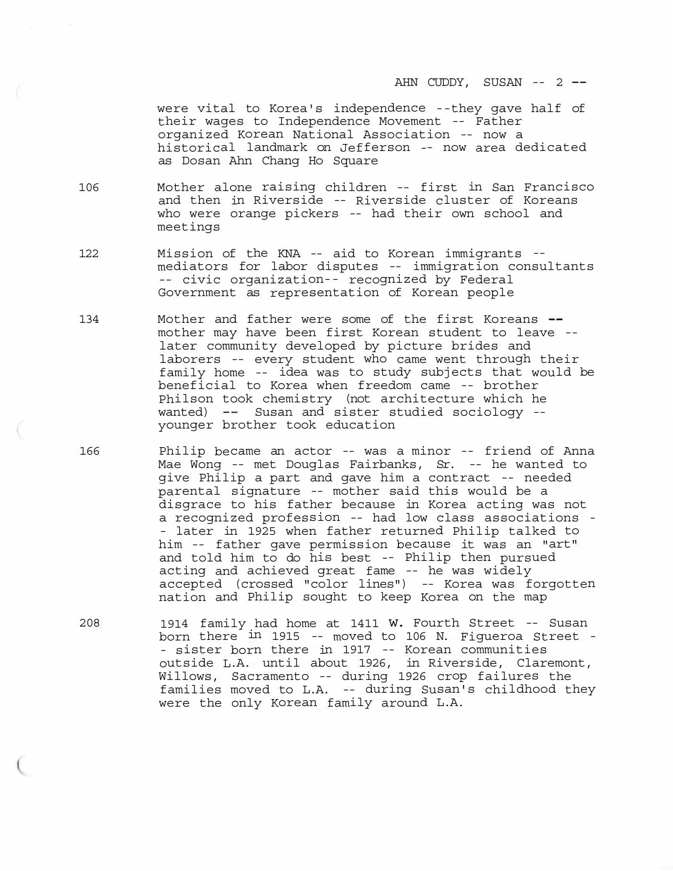AHN CUDDY, SUSAN -- 2 --

were vital to Korea's independence --they gave half of their wages to Independence Movement -- Father organized Korean National Association -- now a historical landmark on Jefferson -- now area dedicated as Dosan Ahn Chang Ho Square

106 Mother alone raising children -- first in San Francisco and then in Riverside -- Riverside cluster of Koreans who were orange pickers -- had their own school and meetings

- 122 Mission of the KNA -- aid to Korean immigrants mediators for labor disputes -- immigration consultants civic organization-- recognized by Federal Government as representation of Korean people
- 134 Mother and father were some of the first Koreans -mother may have been first Korean student to leave - later community developed by picture brides and laborers -- every student who came went through their family home -- idea was to study subjects that would be beneficial to Korea when freedom came -- brother Philson took chemistry (not architecture which he wanted) -- Susan and sister studied sociology -younger brother took education
- 166 Philip became an actor -- was a minor -- friend of Anna Mae Wong -- met Douglas Fairbanks, Sr. -- he wanted to give Philip a part and gave him a contract -- needed parental signature -- mother said this would be a disgrace to his father because in Korea acting was not a recognized profession -- had low class associations - - later in 1925 when father returned Philip talked to him -- father gave permission because it was an "art" and told him to do his best -- Philip then pursued acting and achieved great fame -- he was widely accepted (crossed "color lines") -- Korea was forgotten nation and Philip sought to keep Korea on the map
- 208 1914 family had home at 1411 w. Fourth Street -- Susan born there in 1915 -- moved to 106 N. Figueroa Street - - sister born there in 1917 -- Korean communities outside L.A. until about 1926, in Riverside, Claremont, Willows, Sacramento -- during 1926 crop failures the families moved to L.A. -- during Susan's childhood they were the only Korean family around L.A.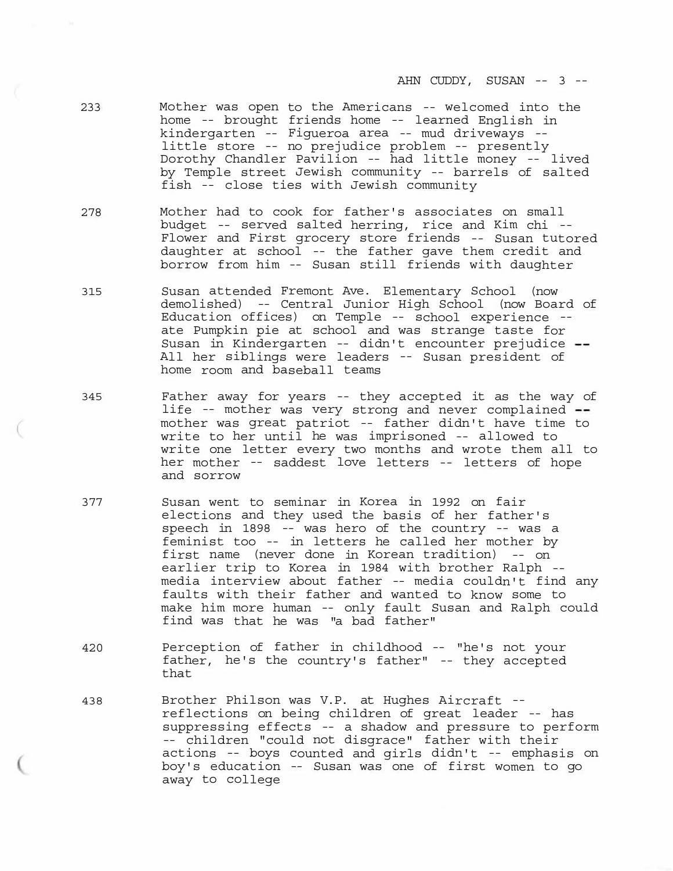AHN CUDDY, SUSAN -- 3 --

- 233 Mother was open to the Americans -- welcomed into the home -- brought friends home -- learned English in kindergarten -- Figueroa area -- mud driveways - little store -- no prejudice problem -- presently Dorothy Chandler Pavilion -- had little money -- lived by Temple street Jewish community -- barrels of salted fish -- close ties with Jewish community
- 278 Mother had to cook for father's associates on small budget -- served salted herring, rice and Kim chi -- Flower and First grocery store friends -- Susan tutored daughter at school -- the father gave them credit and borrow from him -- Susan still friends with daughter
- 315 Susan attended Fremont Ave. Elementary School (now demolished) -- Central Junior High School (now Board of Education offices) on Temple -- school experience - ate Pumpkin pie at school and was strange taste for Susan in Kindergarten -- didn't encounter prejudice All her siblings were leaders -- Susan president of home room and baseball teams
- 345 Father away for years -- they accepted it as the way of life -- mother was very strong and never complained mother was great patriot -- father didn't have time to write to her until he was imprisoned -- allowed to write one letter every two months and wrote them all to her mother -- saddest love letters -- letters of hope and sorrow
- 377 Susan went to seminar in Korea in 1992 on fair elections and they used the basis of her father's speech in 1898 -- was hero of the country -- was a feminist too -- in letters he called her mother by first name (never done in Korean tradition) -- on earlier trip to Korea in 1984 with brother Ralph - media interview about father -- media couldn't find any faults with their father and wanted to know some to make him more human -- only fault Susan and Ralph could find was that he was "a bad father"
- 420 Perception of father in childhood -- "he's not your father, he's the country's father" -- they accepted that
- 438 Brother Philson was V.P. at Hughes Aircraft -reflections on being children of great leader -- has suppressing effects -- a shadow and pressure to perform -- children "could not disgrace" father with their actions -- boys counted and girls didn't -- emphasis on boy's education -- Susan was one of first women to go away to college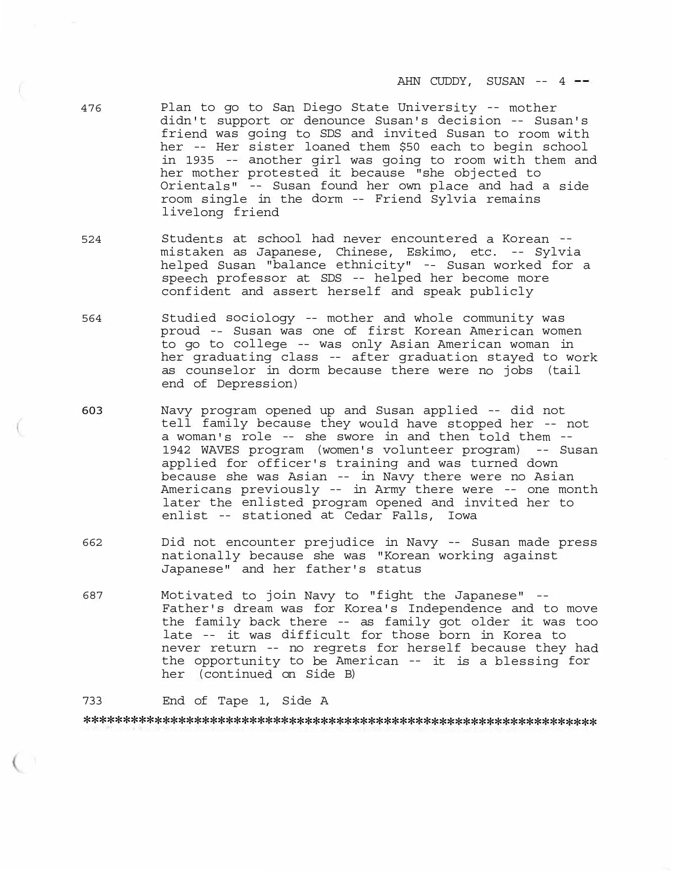- 476 Plan to go to San Diego State University -- mother didn't support or denounce Susan's decision -- Susan's friend was going to SDS and invited Susan to room with her -- Her sister loaned them \$50 each to begin school in 1935 -- another girl was going to room with them and her mother protested it because "she objected to Orientals" -- Susan found her own place and had a side room single in the dorm -- Friend Sylvia remains livelong friend
- 524 Students at school had never encountered a Korean mistaken as Japanese, Chinese, Eskimo, etc. -- Sylvia helped Susan "balance ethnicity" -- Susan worked for a speech professor at SDS -- helped her become more confident and assert herself and speak publicly
- 564 Studied sociology -- mother and whole community was proud -- Susan was one of first Korean American women to go to college -- was only Asian American woman in her graduating class -- after graduation stayed to work as counselor in dorm because there were no jobs (tail end of Depression)
- 603 Navy program opened up and Susan applied -- did not tell family because they would have stopped her -- not a woman's role -- she swore in and then told them -- 1942 WAVES program (women's volunteer program) -- Susan applied for officer's training and was turned down because she was Asian -- in Navy there were no Asian Americans previously -- in Army there were -- one month later the enlisted program opened and invited her to enlist -- stationed at Cedar Falls, Iowa
- <sup>662</sup>Did not encounter prejudice in Navy -- Susan made press nationally because she was "Korean working against Japanese" and her father's status
- <sup>687</sup>Motivated to join Navy to "fight the Japanese" -- Father's dream was for Korea's Independence and to move the family back there -- as family got older it was too late -- it was difficult for those born in Korea to never return -- no regrets for herself because they had the opportunity to be American -- it is a blessing for her (continued on Side B)

733 End of Tape 1, Side A

\*\*\*\*\*\*\*\*\*\*\*\*\*\*\*\*\*\*\*\*\*\*\*\*\*\*\*\*\*\*\*\*\*\*\*\*\*\*\*\*\*\*\*\*\*\*\*\*\*\*\*\*\*\*\*\*\*\*\*\*\*\*\*\*\*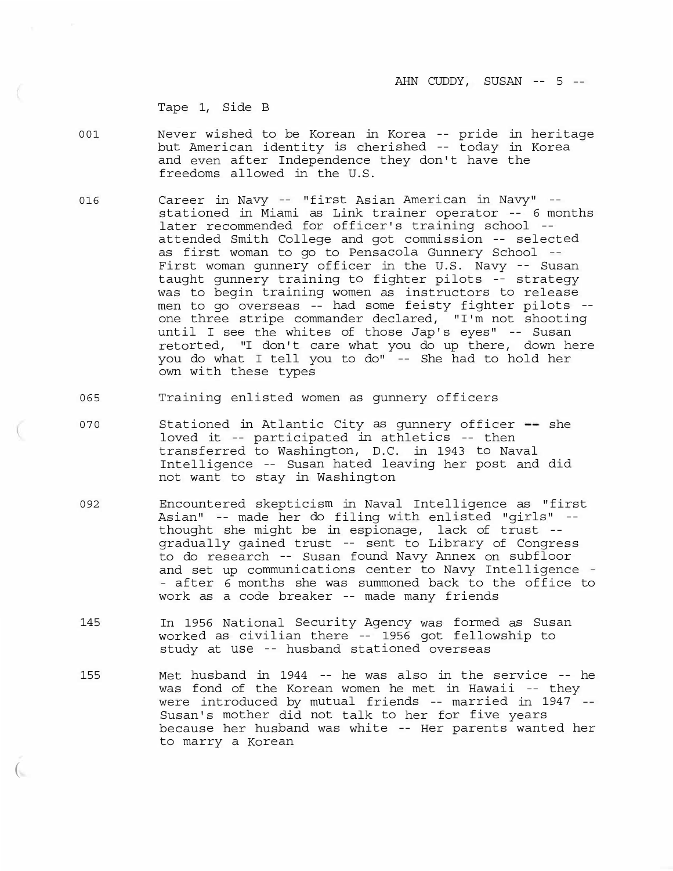Tape 1, Side B

 $\overline{(\ }$ 

- 001 Never wished to be Korean in Korea -- pride in heritage but American identity is cherished -- today in Korea and even after Independence they don't have the freedoms allowed in the U.S.
- 016 Career in Navy -- "first Asian American in Navy" stationed in Miami as Link trainer operator -- 6 months later recommended for officer's training school - attended Smith College and got commission -- selected as first woman to go to Pensacola Gunnery School -- First woman gunnery officer in the U.S. Navy -- Susan taught gunnery training to fighter pilots -- strategy was to begin training women as instructors to release men to go overseas -- had some feisty fighter pilots - one three stripe commander declared, "I'm not shooting until I see the whites of those Jap's eyes" -- Susan retorted, "I don't care what you do up there, down here you do what I tell you to do" -- She had to hold her own with these types
- 065 Training enlisted women as gunnery officers
- 070 Stationed in Atlantic City as qunnery officer -- she loved it -- participated in athletics -- then transferred to Washington, D.C. in 1943 to Naval Intelligence -- Susan hated leaving her post and did not want to stay in Washington
- 092 Encountered skepticism in Naval Intelligence as "first Asian" -- made her do filing with enlisted "girls" - thought she might be in espionage, lack of trust - gradually gained trust -- sent to Library of Congress to do research -- Susan found Navy Annex on subfloor and set up communications center to Navy Intelligence - - after 6 months she was summoned back to the office to work as a code breaker -- made many friends
- 145 In 1956 National Security Agency was formed as Susan worked as civilian there -- 1956 got fellowship to study at use -- husband stationed overseas
- 155 Met husband in 1944 -- he was also in the service -- he was fond of the Korean women he met in Hawaii -- they were introduced by mutual friends -- married in 1947 -- Susan's mother did not talk to her for five years because her husband was white -- Her parents wanted her to marry a Korean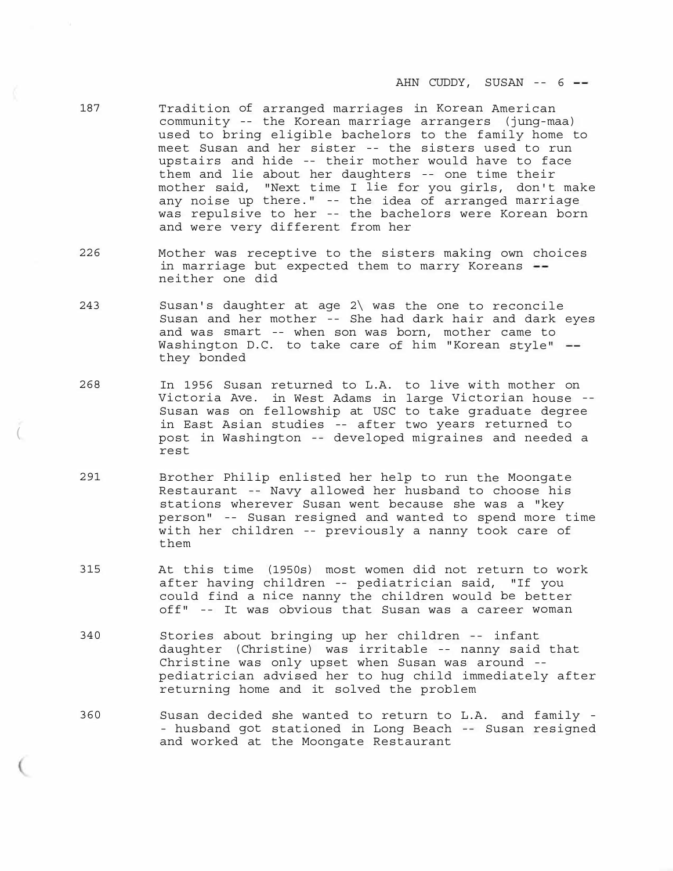- 187 Tradition of arranged marriages in Korean American community -- the Korean marriage arrangers (jung-maa) used to bring eligible bachelors to the family home to meet Susan and her sister -- the sisters used to run upstairs and hide -- their mother would have to face them and lie about her daughters -- one time their mother said, "Next time I lie for you girls, don't make any noise up there." -- the idea of arranged marriage was repulsive to her -- the bachelors were Korean born and were very different from her
- 226 Mother was receptive to the sisters making own choices in marriage but expected them to marry Koreans -neither one did
- 243 Susan's daughter at age 2\ was the one to reconcile Susan and her mother -- She had dark hair and dark eyes and was smart -- when son was born, mother came to Washington D.C. to take care of him "Korean style" -they bonded
- 268 In 1956 Susan returned to L.A. to live with mother on Victoria Ave. in West Adams in large Victorian house -- Susan was on fellowship at USC to take graduate degree in East Asian studies -- after two years returned to post in Washington -- developed migraines and needed a rest

(

- 291 Brother Philip enlisted her help to run the Moongate Restaurant -- Navy allowed her husband to choose his stations wherever Susan went because she was a "key person" -- Susan resigned and wanted to spend more time with her children -- previously a nanny took care of them
- 315 At this time (1950s) most women did not return to work after having children -- pediatrician said, "If you could find a nice nanny the children would be better off" -- It was obvious that Susan was a career woman
- 340 Stories about bringing up her children -- infant daughter (Christine) was irritable -- nanny said that Christine was only upset when Susan was around - pediatrician advised her to hug child immediately after returning home and it solved the problem
- 360 Susan decided she wanted to return to L.A. and family - husband got stationed in Long Beach -- Susan resigned and worked at the Moongate Restaurant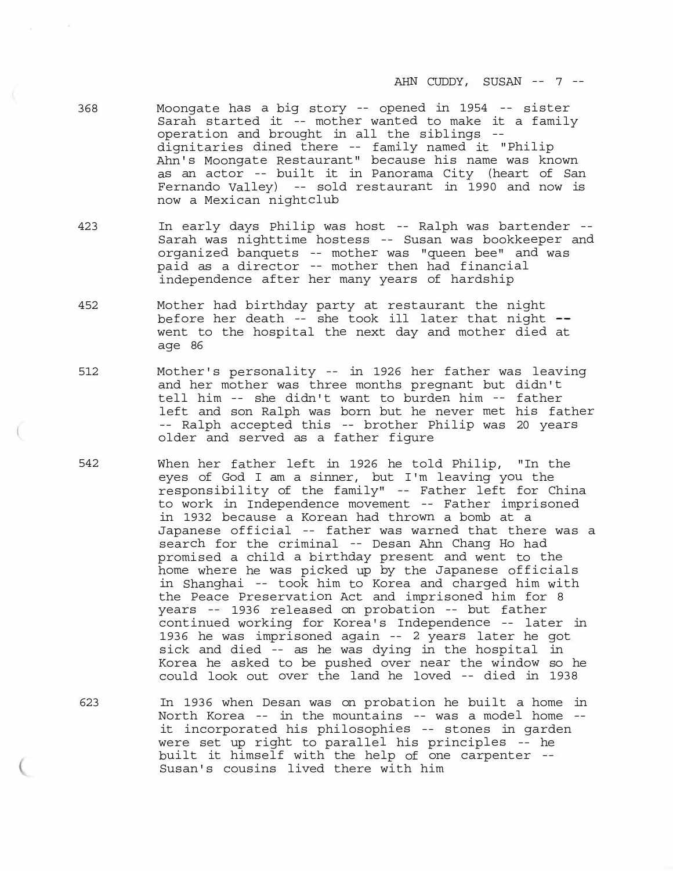- 368 Moongate has a big story -- opened in 1954 -- sister Sarah started it -- mother wanted to make it a family operation and brought in all the siblings - dignitaries dined there -- family named it "Philip Ahn's Moongate Restaurant" because his name was known as an actor -- built it in Panorama City (heart of San Fernando Valley) -- sold restaurant in 1990 and now is now a Mexican nightclub
- 423 In early days Philip was host -- Ralph was bartender -- Sarah was nighttime hostess -- Susan was bookkeeper and organized banquets -- mother was "queen bee" and was paid as a director -- mother then had financial independence after her many years of hardship
- 452 Mother had birthday party at restaurant the night before her death -- she took ill later that night -went to the hospital the next day and mother died at age 86
- 512 Mother's personality -- in 1926 her father was leaving and her mother was three months pregnant but didn't tell him -- she didn't want to burden him -- father left and son Ralph was born but he never met his father -- Ralph accepted this -- brother Philip was 20 years older and served as a father figure
- 542 When her father left in 1926 he told Philip, "In the eyes of God I am a sinner, but I'm leaving you the responsibility of the family" -- Father left for China to work in Independence movement -- Father imprisoned in 1932 because a Korean had thrown a bomb at a Japanese official -- father was warned that there was a search for the criminal -- Desan Ahn Chang Ho had promised a child a birthday present and went to the home where he was picked up by the Japanese officials in Shanghai -- took him to Korea and charged him with the Peace Preservation Act and imprisoned him for 8 years -- 1936 released on probation -- but father continued working for Korea's Independence -- later in 1936 he was imprisoned again -- 2 years later he got sick and died -- as he was dying in the hospital in Korea he asked to be pushed over near the window so he could look out over the land he loved -- died in 1938
- 623 In 1936 when Desan was on probation he built a home in North Korea -- in the mountains -- was a model home - it incorporated his philosophies -- stones in garden were set up right to parallel his principles -- he built it himself with the help of one carpenter -- Susan's cousins lived there with him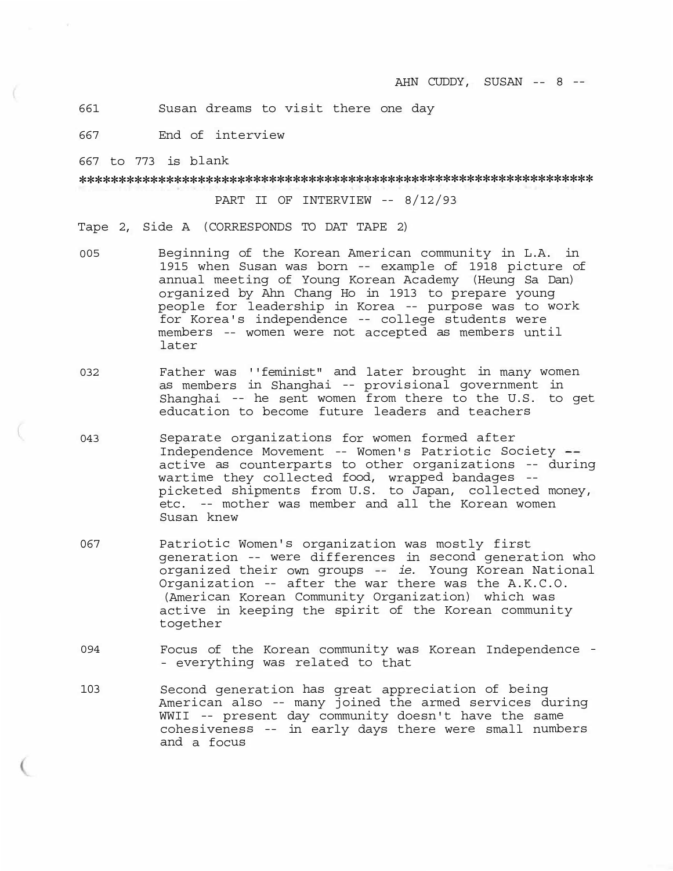661 Susan dreams to visit there one day

667 End of interview

667 to 773 is blank

\*\*\*\*\*\*\*\*\*\*\*\*\*\*\*\*\*\*\*\*\*\*\*\*\*\*\*\*\*\*\*\*\*\*\*\*\*\*\*\*\*\*\*\*\*\*\*\*\*\*\*\*\*\*\*\*\*\*\*\*\*\*\*\*\*

PART II OF INTERVIEW -- 8/12/93

Tape 2, Side A (CORRESPONDS TO DAT TAPE 2)

- 005 Beginning of the Korean American community in L.A. in 1915 when Susan was born -- example of 1918 picture of annual meeting of Young Korean Academy (Heung Sa Dan) organized by Ahn Chang Ho in 1913 to prepare young people for leadership in Korea -- purpose was to work for Korea's independence -- college students were members -- women were not accepted as members until later
- 032 Father was ''feminist" and later brought in many women as members in Shanghai -- provisional government in Shanghai -- he sent women from there to the U.S. to get education to become future leaders and teachers
- 043 Separate organizations for women formed after Independence Movement -- Women's Patriotic Society active as counterparts to other organizations -- during wartime they collected food, wrapped bandages - picketed shipments from U.S. to Japan, collected money, etc. -- mother was member and all the Korean women Susan knew
- 067 Patriotic Women's organization was mostly first generation -- were differences in second generation who organized their own groups -- *ie.* Young Korean National Organization -- after the war there was the A.K.C.O. (American Korean Community Organization) which was active in keeping the spirit of the Korean community together
- 094 Focus of the Korean community was Korean Independence -- everything was related to that
- 103 Second generation has great appreciation of being American also -- many joined the armed services during WWII -- present day community doesn't have the same cohesiveness -- in early days there were small numbers and a focus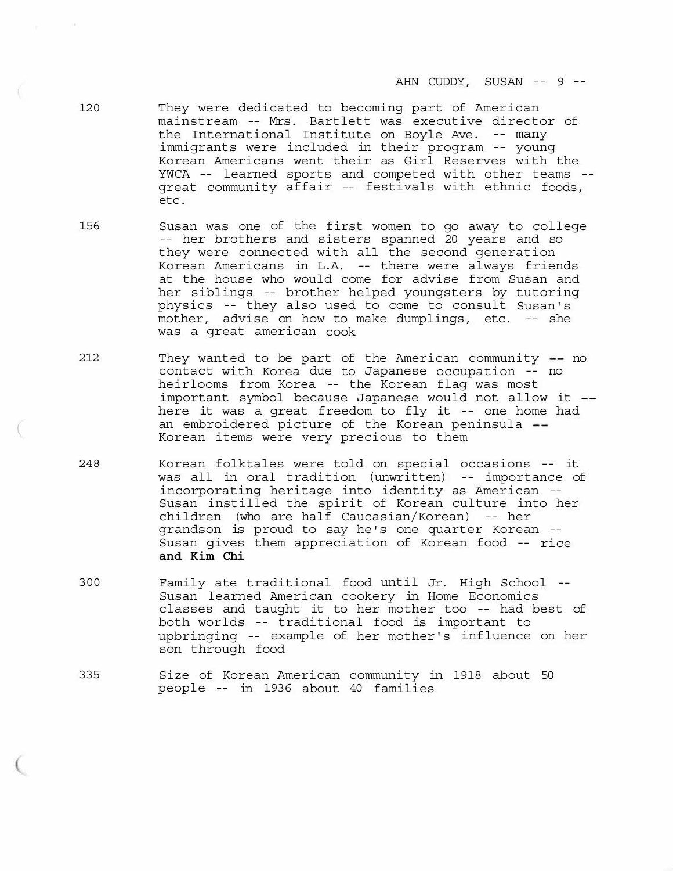- 120 They were dedicated to becoming part of American mainstream -- Mrs. Bartlett was executive director of the International Institute on Boyle Ave. -- many immigrants were included in their program -- young Korean Americans went their as Girl Reserves with the YWCA -- learned sports and competed with other teams - great community affair -- festivals with ethnic foods, etc.
- 156 Susan was one of the first women to go away to college -- her brothers and sisters spanned 20 years and so they were connected with all the second generation Korean Americans in L.A. -- there were always friends at the house who would come for advise from Susan and her siblings -- brother helped youngsters by tutoring physics -- they also used to come to consult Susan's mother, advise on how to make dumplings, etc. -- she was a great american cook
- $212$  They wanted to be part of the American community  $-$  no contact with Korea due to Japanese occupation -- no heirlooms from Korea -- the Korean flag was most important symbol because Japanese would not allow it here it was a great freedom to fly it -- one home had an embroidered picture of the Korean peninsula --Korean items were very precious to them
- 248 Korean folktales were told on special occasions -- it was all in oral tradition (unwritten) -- importance of incorporating heritage into identity as American -- Susan instilled the spirit of Korean culture into her children (who are half Caucasian/Korean) -- her grandson is proud to say he's one quarter Korean -- Susan gives them appreciation of Korean food -- rice **and Kim Chi**
- 300 Family ate traditional food until Jr. High School -- Susan learned American cookery in Home Economics classes and taught it to her mother too -- had best of both worlds -- traditional food is important to upbringing -- example of her mother's influence on her son through food
- 335 Size of Korean American community in 1918 about 50 people -- in 1936 about 40 families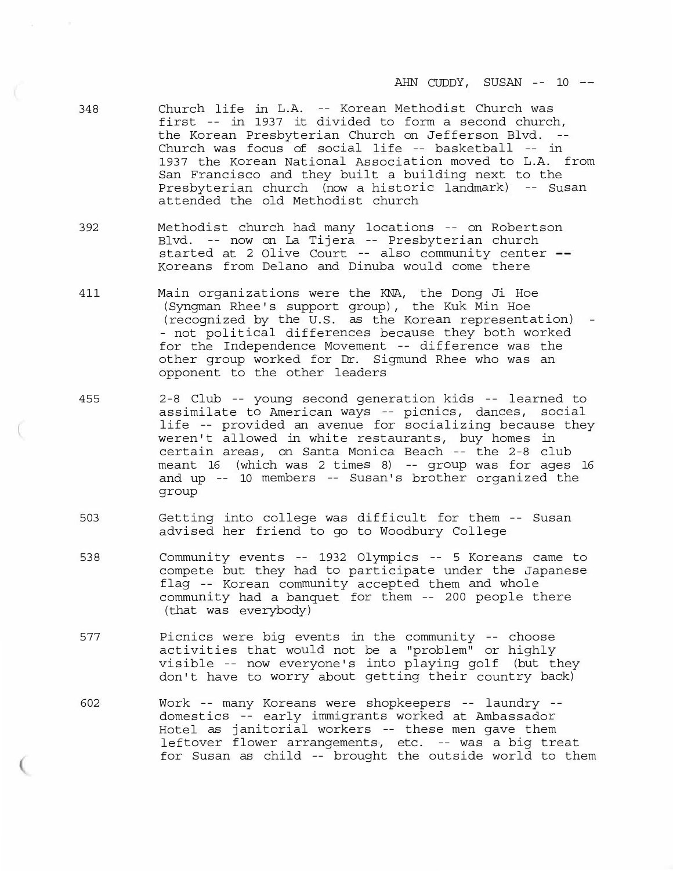AHN CUDDY, SUSAN -- 10 --

- 348 Church life in L.A. -- Korean Methodist Church was first -- in 1937 it divided to form a second church, the Korean Presbyterian Church on Jefferson Blvd. -- Church was focus of social life -- basketball -- in 1937 the Korean National Association moved to L.A. from San Francisco and they built a building next to the Presbyterian church (now a historic landmark) -- Susan attended the old Methodist church
- 392 Methodist church had many locations -- on Robertson Blvd. -- now on La Tijera -- Presbyterian church started at 2 Olive Court -- also community center --Koreans from Delano and Dinuba would come there
- 411 Main organizations were the KNA, the Dong Ji Hoe (Syngman Rhee's support group), the Kuk Min Hoe (recognized by the U.S. as the Korean representation) - - not political differences because they both worked for the Independence Movement -- difference was the other group worked for Dr. Sigmund Rhee who was an opponent to the other leaders
- 455 2-8 Club -- young second generation kids -- learned to assimilate to American ways -- picnics, dances, social life -- provided an avenue for socializing because they weren't allowed in white restaurants, buy homes in certain areas, on Santa Monica Beach -- the 2-8 club meant 16 (which was 2 times 8) -- group was for ages 16 and up -- 10 members -- Susan's brother organized the group
- 503 Getting into college was difficult for them -- Susan advised her friend to go to Woodbury College
- 538 Community events -- 1932 Olympics -- 5 Koreans came to compete but they had to participate under the Japanese flag -- Korean community accepted them and whole community had a banquet for them -- 200 people there (that was everybody)
- 577 Picnics were big events in the community -- choose activities that would not be a "problem" or highly visible -- now everyone's into playing golf (but they don't have to worry about getting their country back)
- 602 Work -- many Koreans were shopkeepers -- laundry domestics -- early immigrants worked at Ambassador Hotel as janitorial workers -- these men gave them leftover flower arrangements, etc. -- was a big treat for Susan as child -- brought the outside world to them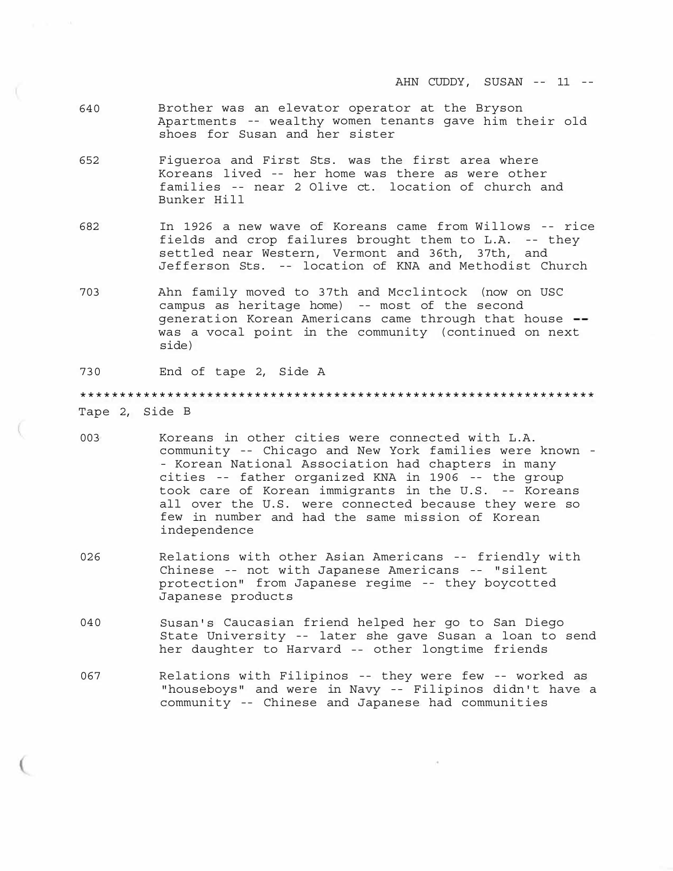- 640 Brother was an elevator operator at the Bryson Apartments -- wealthy women tenants gave him their old shoes for Susan and her sister
- 652 Figueroa and First Sts. was the first area where Koreans lived -- her home was there as were other families -- near 2 Olive ct. location of church and Bunker Hill
- 682 In 1926 a new wave of Koreans came from Willows -- rice fields and crop failures brought them to L.A. -- they settled near Western, Vermont and 36th, 37th, and Jefferson Sts. -- location of KNA and Methodist Church
- 703 Ahn family moved to 37th and Mcclintock (now on USC campus as heritage home) -- most of the second generation Korean Americans came through that house was a vocal point in the community (continued on next side)

730 End of tape 2, Side A

\*\*\*\*\*\*\*\*\*\*\*\*\*\*\*\*\*\*\*\*\*\*\*\*\*\*\*\*\*\*\*\*\*\*\*\*\*\*\*\*\*\*\*\*\*\*\*\*\*\*\*\*\*\*\*\*\*\*\*\*\*\*\*\*\* Tape 2, Side B

- 003 Koreans in other cities were connected with L.A. community -- Chicago and New York families were known - - Korean National Association had chapters in many cities -- father organized KNA in 1906 -- the group took care of Korean immigrants in the U.S. -- Koreans all over the U.S. were connected because they were so few in number and had the same mission of Korean independence
- 026 Relations with other Asian Americans -- friendly with Chinese -- not with Japanese Americans -- "silent protection" from Japanese regime -- they boycotted Japanese products
- 040 Susan's Caucasian friend helped her go to San Diego State University -- later she gave Susan a loan to send her daughter to Harvard -- other longtime friends
- 067 Relations with Filipinos -- they were few -- worked as "houseboys" and were in Navy -- Filipinos didn't have a community -- Chinese and Japanese had communities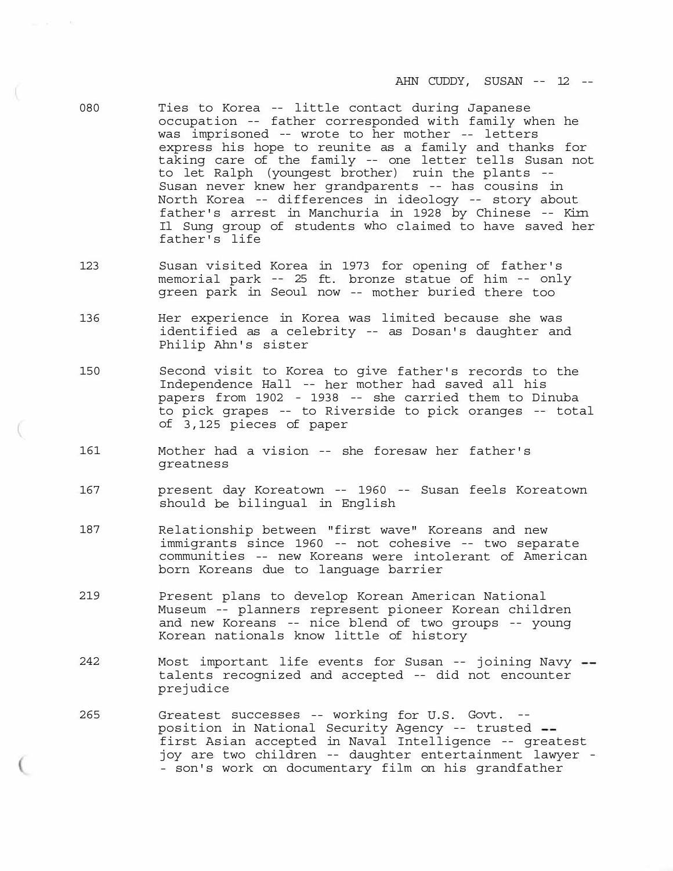- 080 Ties to Korea -- little contact during Japanese occupation -- father corresponded with family when he was imprisoned -- wrote to her mother -- letters express his hope to reunite as a family and thanks for taking care of the family -- one letter tells Susan not to let Ralph (youngest brother) ruin the plants -- Susan never knew her grandparents -- has cousins in North Korea -- differences in ideology -- story about father's arrest in Manchuria in 1928 by Chinese -- Kim Il Sung group of students who claimed to have saved her father's life
- 123 Susan visited Korea in 1973 for opening of father's memorial park -- 25 ft. bronze statue of him -- only green park in Seoul now -- mother buried there too
- 136 Her experience in Korea was limited because she was identified as a celebrity -- as Dosan's daughter and Philip Ahn's sister
- 150 Second visit to Korea to give father's records to the Independence Hall -- her mother had saved all his papers from 1902 - 1938 -- she carried them to Dinuba to pick grapes -- to Riverside to pick oranges -- total of 3,125 pieces of paper
- 161 Mother had a vision -- she foresaw her father's greatness
- 167 present day Koreatown -- 1960 -- Susan feels Koreatown should be bilingual in English
- 187 Relationship between "first wave" Koreans and new immigrants since 1960 -- not cohesive -- two separate communities -- new Koreans were intolerant of American born Koreans due to language barrier
- 219 Present plans to develop Korean American National Museum -- planners represent pioneer Korean children and new Koreans -- nice blend of two groups -- young Korean nationals know little of history
- 242 Most important life events for Susan -- joining Navy talents recognized and accepted -- did not encounter prejudice
- 265 Greatest successes -- working for U.S. Govt. position in National Security Agency -- trusted first Asian accepted in Naval Intelligence -- greatest joy are two children -- daughter entertainment lawyer - - son's work on documentary film on his grandfather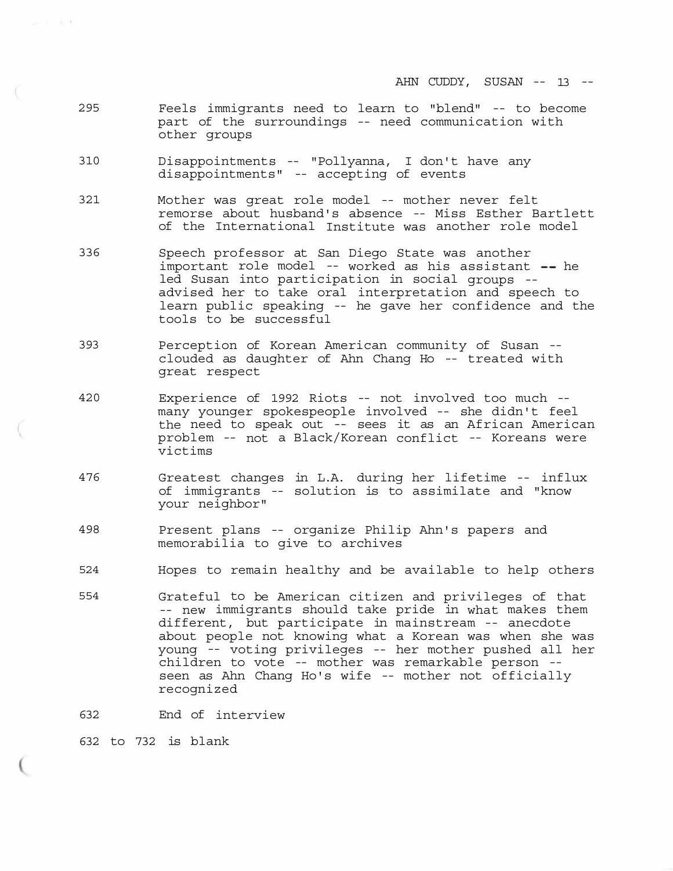AHN CUDDY, SUSAN -- 13 --

- 295 Feels immigrants need to learn to "blend" -- to become part of the surroundings -- need communication with other groups
- 310 Disappointments -- "Pollyanna, I don't have any disappointments" -- accepting of events
- 321 Mother was great role model -- mother never felt remorse about husband's absence -- Miss Esther Bartlett of the International Institute was another role model
- 336 Speech professor at San Diego State was another important role model -- worked as his assistant  $-$  he led Susan into participation in social groups -advised her to take oral interpretation and speech to learn public speaking -- he gave her confidence and the tools to be successful
- 393 Perception of Korean American community of Susan -- clouded as daughter of Ahn Chang Ho -- treated with great respect
- 420 Experience of 1992 Riots -- not involved too much many younger spokespeople involved -- she didn't feel the need to speak out -- sees it as an African American problem -- not a Black/Korean conflict -- Koreans were victims
- 476 Greatest changes in L.A. during her lifetime -- influx of immigrants -- solution is to assimilate and "know your neighbor"
- 498 Present plans -- organize Philip Ahn's papers and memorabilia to give to archives
- 524 Hopes to remain healthy and be available to help others
- 554 Grateful to be American citizen and privileges of that -- new immigrants should take pride in what makes them different, but participate in mainstream -- anecdote about people not knowing what a Korean was when she was young -- voting privileges -- her mother pushed all her children to vote -- mother was remarkable person -- seen as Ahn Chang Ho's wife -- mother not officially recognized
- 632 End of interview

632 to 732 is blank

art and an Africa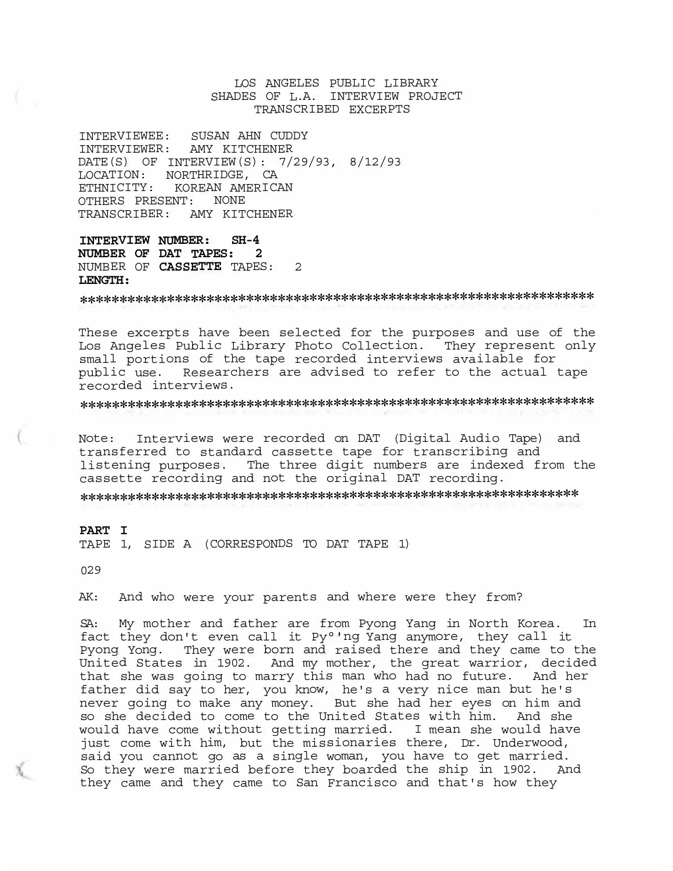# LOS ANGELES PUBLIC LIBRARY SHADES OF L.A. INTERVIEW PROJECT TRANSCRIBED EXCERPTS

INTERVIEWEE: SUSAN AHN CUDDY INTERVIEWER: AMY KITCHENER DATE(S) OF INTERVIEW(S): 7/29/93, 8/12/93 LOCATION: NORTHRIDGE, CA ETHNICITY: KOREAN AMERICAN OTHERS PRESENT: NONE TRANSCRIBER: AMY KITCHENER

**INTERVIEW NUMBER: SH-4 NUMBER OF DAT TAPES: 2**  NUMBER OF **CASSETTE** TAPES: 2 **LENGTH:** 

\*\*\*\*\*\*\*\*\*\*\*\*\*\*\*\*\*\*\*\*\*\*\*\*\*\*\*\*\*\*\*\*\*\*\*\*\*\*\*\*\*\*\*\*\*\*\*\*\*\*\*\*\*\*\*\*\*\*\*\*\*\*\*\*\*

These excerpts have been selected for the purposes and use of the Los Angeles Public Library Photo Collection. They represent only small portions of the tape recorded interviews available for public use. Researchers are advised to refer to the actual tape recorded interviews.

\*\*\*\*\*\*\*\*\*\*\*\*\*\*\*\*\*\*\*\*\*\*\*\*\*\*\*\*\*\*\*\*\*\*\*\*\*\*\*\*\*\*\*\*\*\*\*\*\*\*\*\*\*\*\*\*\*\*\*\*\*\*\*\*\*

Note: Interviews were recorded on DAT (Digital Audio Tape) and transferred to standard cassette tape for transcribing and listening purposes. The three digit numbers are indexed from the cassette recording and not the original DAT recording.

\*\*\*\*\*\*\*\*\*\*\*\*\*\*\*\*\*\*\*\*\*\*\*\*\*\*\*\*\*\*\*\*\*\*\*\*\*\*\*\*\*\*\*\*\*\*\*\*\*\*\*\*\*\*\*\*\*\*\*\*\*\*\*

#### **PART I**

TAPE 1, SIDE A (CORRESPONDS TO DAT TAPE 1)

029

 $\left(\right.$ 

AK: And who were your parents and where were they from?

SA: My mother and father are from Pyong Yang in North Korea. In fact they don't even call it Py°'ng Yang anymore, they call it Pyong Yong. They were born and raised there and they came to the United States in 1902. And my mother, the great warrior, decided that she was going to marry this man who had no future. And her father did say to her, you know, he's a very nice man but he's never going to make any money. But she had her eyes on him and so she decided to come to the United States with him. And she would have come without getting married. I mean she would have just come with him, but the missionaries there, Dr. Underwood, said you cannot go as a single woman, you have to get married. So they were married before they boarded the ship in 1902. And they came and they came to San Francisco and that's how they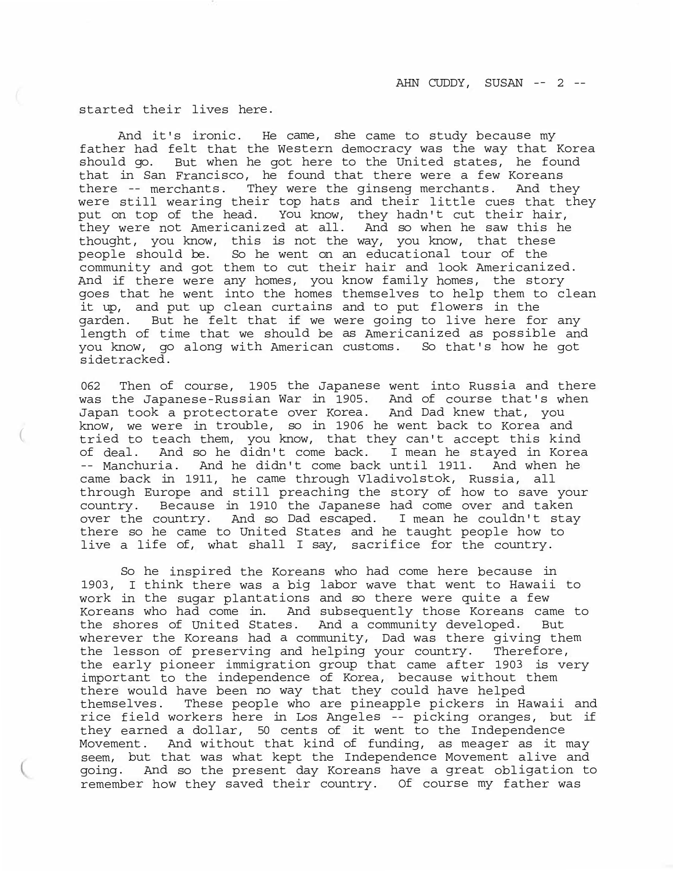started their lives here.

And it's ironic. He came, she came to study because my father had felt that the Western democracy was the way that Korea should go. But when he got here to the United states, he found that in San Francisco, he found that there were a few Koreans there -- merchants. They were the ginseng merchants. And they were still wearing their top hats and their little cues that they put on top of the head. You know, they hadn't cut their hair, they were not Americanized at all. And so when he saw this he thought, you know, this is not the way, you know, that these people should be. So he went on an educational tour of the community and got them to cut their hair and look Americanized. And if there were any homes, you know family homes, the story goes that he went into the homes themselves to help them to clean it up, and put up clean curtains and to put flowers in the garden. But he felt that if we were going to live here for any length of time that we should be as Americanized as possible and you know, go along with American customs. So that's how he got sidetracked.

062 Then of course, 1905 the Japanese went into Russia and there was the Japanese-Russian War in 1905. And of course that's when Japan took a protectorate over Korea. And Dad knew that, you know, we were in trouble, so in 1906 he went back to Korea and tried to teach them, you know, that they can't accept this kind of deal. And so he didn't come back. I mean he stayed in Korea<br>-- Manchuria. And he didn't come back until 1911. And when he -- Manchuria. And he didn't come back until 1911. came back in 1911, he came through Vladivolstok, Russia, all through Europe and still preaching the story of how to save your country. Because in 1910 the Japanese had come over and taken over the country. And so Dad escaped. I mean he couldn't stay there so he came to United States and he taught people how to live a life of, what shall I say, sacrifice for the country.

So he inspired the Koreans who had come here because in 1903, I think there was a big labor wave that went to Hawaii to work in the sugar plantations and so there were quite a few Koreans who had come in. And subsequently those Koreans came to the shores of United States. And a community developed. But wherever the Koreans had a community, Dad was there giving them the lesson of preserving and helping your country. Therefore, the early pioneer immigration group that came after 1903 is very important to the independence of Korea, because without them there would have been no way that they could have helped themselves. These people who are pineapple pickers in Hawaii and rice field workers here in Los Angeles -- picking oranges, but if they earned a dollar, 50 cents of it went to the Independence Movement. And without that kind of funding, as meager as it may seem, but that was what kept the Independence Movement alive and going. And so the present day Koreans have a great obligation to remember how they saved their country. Of course my father was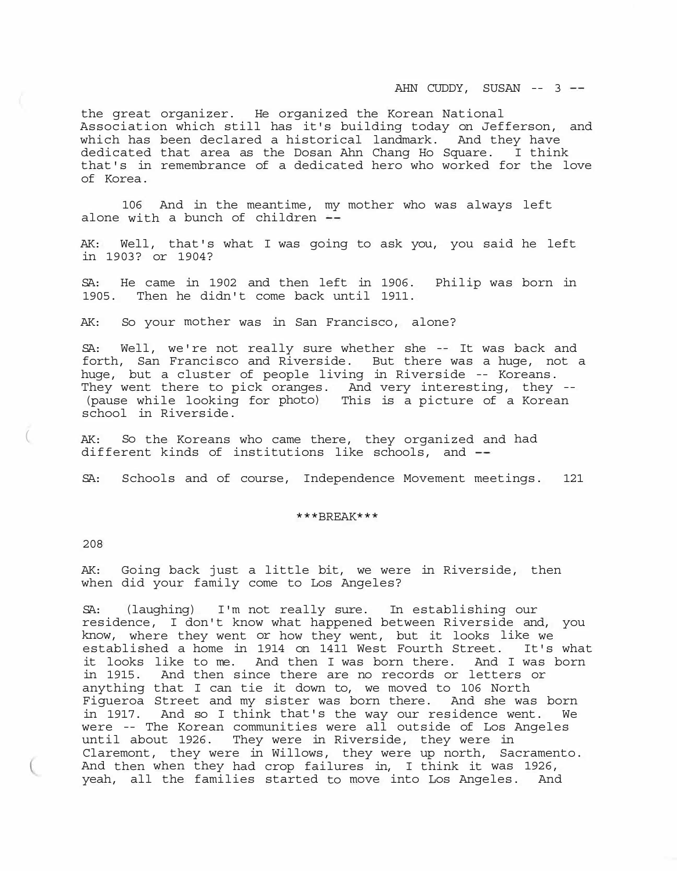AHN CUDDY, SUSAN -- 3 --

the great organizer. He organized the Korean National Association which still has it's building today on Jefferson, and which has been declared a historical landmark. And they have dedicated that area as the Dosan Ahn Chang Ho Square. I think that's in remembrance of a dedicated hero who worked for the love of Korea.

106 And in the meantime, my mother who was always left alone with a bunch of children --

AK: Well, that's what I was going to ask you, you said he left in 1903? or 1904?

SA: He came in 1902 and then left in 1906. Philip was born in 1905. Then he didn't come back until 1911.

AK: So your mother was in San Francisco, alone?

SA: Well, we're not really sure whether she -- It was back and forth, San Francisco and Riverside. But there was a huge, not a huge, but a cluster of people living in Riverside -- Koreans.<br>They went there to pick oranges. And very interesting, they --(pause while looking for photo) This is a picture of a Korean school in Riverside.

AK: So the Koreans who came there, they organized and had different kinds of institutions like schools, and --

SA: Schools and of course, Independence Movement meetings. 121

#### \*\*\*BREAK\*\*\*

208

AK: Going back just a little bit, we were in Riverside, then when did your family come to Los Angeles?

SA: (laughing) I'm not really sure. In establishing our residence, I don't know what happened between Riverside and, you know, where they went or how they went, but it looks like we established a home in 1914 on 1411 West Fourth Street. It's what it looks like to me. And then I was born there. And I was born in 1915. And then since there are no records or letters or anything that I can tie it down to, we moved to 106 North Figueroa Street and my sister was born there. And she was born in 1917. And so I think that's the way our residence went. We were -- The Korean communities were all outside of Los Angeles until about 1926. They were in Riverside, they were in Claremont, they were in Willows, they were up north, Sacramento. And then when they had crop failures in, I think it was 1926, yeah, all the families started to move into Los Angeles. And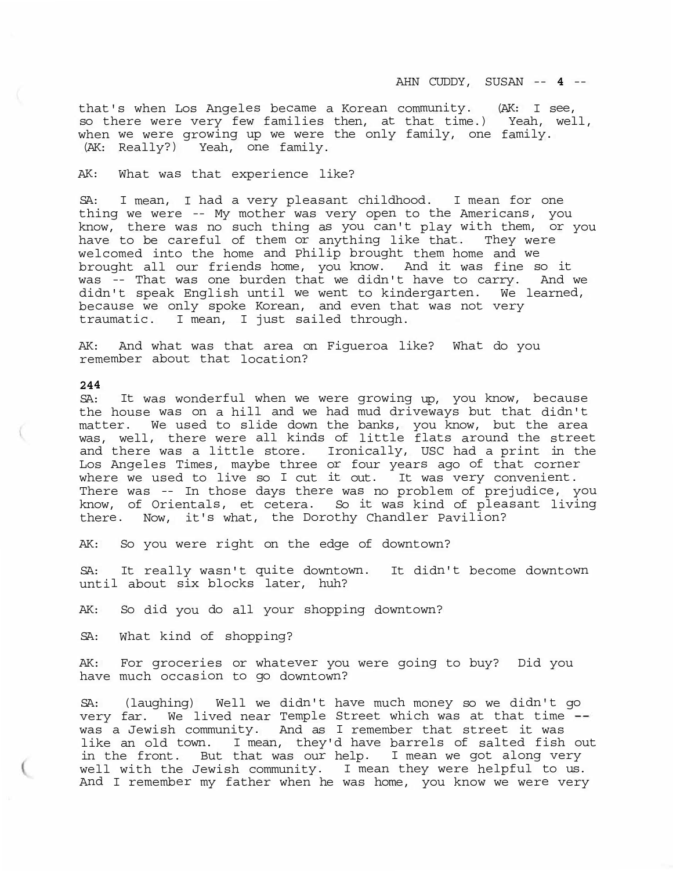that's when Los Angeles became a Korean community. (AK: I see, so there were very few families then, at that time.) Yeah, well, when we were growing up we were the only family, one family. (AK: Really?) Yeah, one family.

### AK: What was that experience like?

SA: I mean, I had a very pleasant childhood. I mean for one thing we were -- My mother was very open to the Americans, you know, there was no such thing as you can't play with them, or you have to be careful of them or anything like that. They were welcomed into the home and Philip brought them home and we brought all our friends home, you know. And it was fine so it was -- That was one burden that we didn't have to carry. And we didn't speak English until we went to kindergarten. We learned, because we only spoke Korean, and even that was not very traumatic. I mean, I just sailed through.

AK: And what was that area on Figueroa like? What do you remember about that location?

#### **244**

SA: It was wonderful when we were growing up, you know, because the house was on a hill and we had mud driveways but that didn't matter. We used to slide down the banks, you know, but the area was, well, there were all kinds of little flats around the street and there was a little store. Ironically, USC had a print in the Los Angeles Times, maybe three or four years ago of that corner where we used to live so I cut it out. It was very convenient. There was -- In those days there was no problem of prejudice, you know, of Orientals, et cetera. So it was kind of pleasant living there. Now, it's what, the Dorothy Chandler Pavilion?

AK: So you were right on the edge of downtown?

SA: It really wasn't quite downtown. It didn't become downtown until about six blocks later, huh?

AK: So did you do all your shopping downtown?

SA: What kind of shopping?

AK: For groceries or whatever you were going to buy? Did you have much occasion to go downtown?

SA: (laughing) Well we didn't have much money so we didn't go very far. We lived near Temple Street which was at that time was a Jewish community. And as I remember that street it was like an old town. I mean, they'd have barrels of salted fish out in the front. But that was our help. I mean we got along very well with the Jewish community. I mean they were helpful to us. And I remember my father when he was home, you know we were very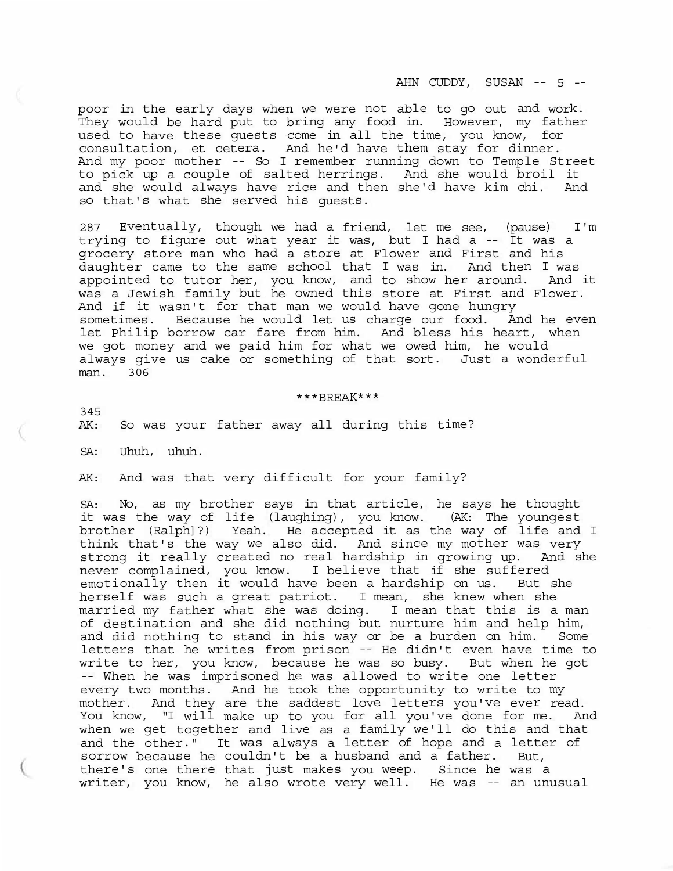poor in the early days when we were not able to go out and work. They would be hard put to bring any food in. However, my father used to have these guests come in all the time, you know, for consultation, et cetera. And he'd have them stay for dinner. And my poor mother -- So I remember running down to Temple Street to pick up a couple of salted herrings. And she would broil it and she would always have rice and then she'd have kim chi. And so that's what she served his guests.

287 Eventually, though we had a friend, let me see, (pause) I'm trying to figure out what year it was, but I had a -- It was a grocery store man who had a store at Flower and First and his daughter came to the same school that I was in. And then I was appointed to tutor her, you know, and to show her around. And it was a Jewish family but he owned this store at First and Flower. And if it wasn't for that man we would have gone hungry sometimes. Because he would let us charge our food. And he even let Philip borrow car fare from him. And bless his heart, when we got money and we paid him for what we owed him, he would always give us cake or something of that sort. Just a wonderful man. 306

### \*\*\*BREAK\*\*\*

345

AK: So was your father away all during this time?

SA: Uhuh, uhuh.

AK: And was that very difficult for your family?

SA: No, as my brother says in that article, he says he thought it was the way of life (laughing), you know. (AK: The youngest brother (Ralph]?) Yeah. He accepted it as the way of life and I think that's the way we also did. And since my mother was very strong it really created no real hardship in growing up. And she never complained, you know. I believe that if she suffered emotionally then it would have been a hardship on us. But she herself was such a great patriot. I mean, she knew when she married my father what she was doing. I mean that this is a man of destination and she did nothing but nurture him and help him, and did nothing to stand in his way or be a burden on him. Some letters that he writes from prison -- He didn't even have time to write to her, you know, because he was so busy. But when he got -- When he was imprisoned he was allowed to write one letter every two months. And he took the opportunity to write to my mother. And they are the saddest love letters you've ever read. You know, "I will make up to you for all you've done for me. And when we get together and live as a family we'll do this and that and the other." It was always a letter of hope and a letter of sorrow because he couldn't be a husband and a father. But, there's one there that just makes you weep. Since he was a writer, you know, he also wrote very well. He was -- an unusual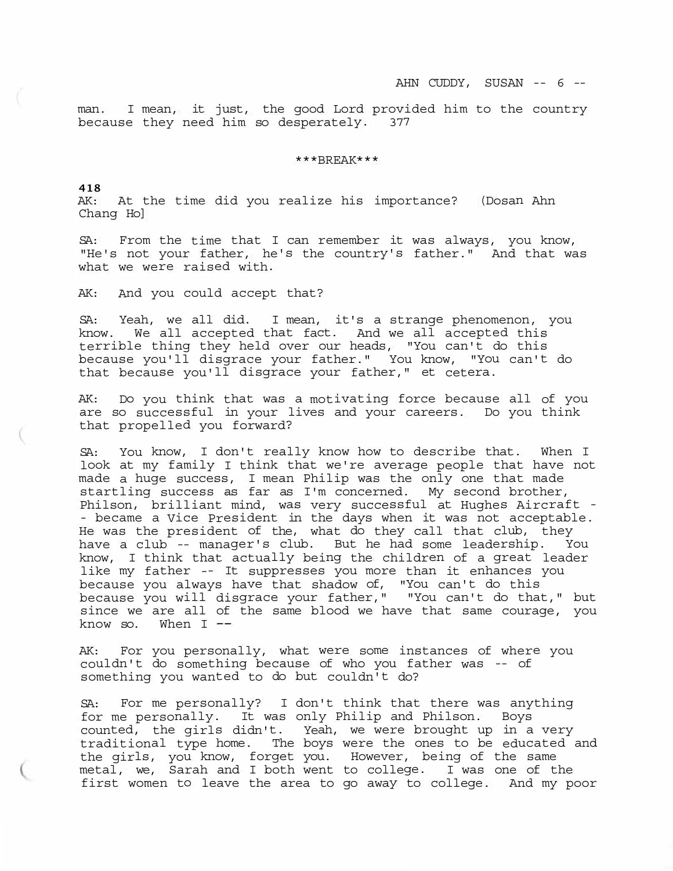man. I mean, it just, the good Lord provided him to the country because they need him so desperately. 377

#### \*\*\*BREAK\*\*\*

**418**  AK: At the time did you realize his importance? (Dosan Ahn Chang Ho]

SA: From the time that I can remember it was always, you know, "He's not your father, he's the country's father." And that was what we were raised with.

AK: And you could accept that?

SA: Yeah, we all did. I mean, it's a strange phenomenon, you know. We all accepted that fact. And we all accepted this terrible thing they held over our heads, "You can't do this because you'll disgrace your father." You know, "You can't do that because you'll disgrace your father," et cetera.

AK: Do you think that was a motivating force because all of you are so successful in your lives and your careers. Do you think that propelled you forward?

SA: You know, I don't really know how to describe that. When I look at my family I think that we're average people that have not made a huge success, I mean Philip was the only one that made startling success as far as I'm concerned. My second brother, Philson, brilliant mind, was very successful at Hughes Aircraft - - became a Vice President in the days when it was not acceptable. He was the president of the, what do they call that club, they have a club -- manager's club. But he had some leadership. You know, I think that actually being the children of a great leader like my father -- It suppresses you more than it enhances you because you always have that shadow of, "You can't do this because you will disgrace your father," "You can't do that," but since we are all of the same blood we have that same courage, you know so. When  $I$  --

AK: For you personally, what were some instances of where you couldn't do something because of who you father was -- of something you wanted to do but couldn't do?

SA: For me personally? I don't think that there was anything for me personally. It was only Philip and Philson. Boys counted, the girls didn't. Yeah, we were brought up in a very traditional type home. The boys were the ones to be educated and the girls, you know, forget you. However, being of the same metal, we, Sarah and I both went to college. I was one of the first women to leave the area to go away to college. And my poor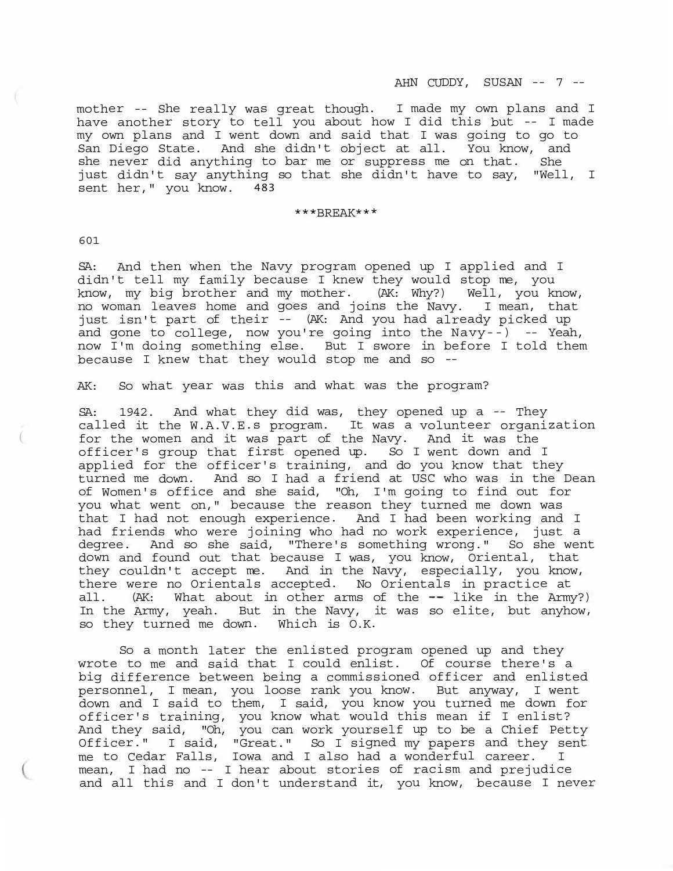mother -- She really was great though. I made my own plans and I have another story to tell you about how I did this but -- I made my own plans and I went down and said that I was going to go to San Diego State. And she didn't object at all. You know, and she never did anything to bar me or suppress me on that. She just didn't say anything so that she didn't have to say, "Well, I sent her," you know. 483

### \*\*\*BREAK\*\*\*

601

(

SA: And then when the Navy program opened up I applied and I didn't tell my family because I knew they would stop me, you know, my big brother and my mother. (AK: Why?) Well, you know, no woman leaves home and goes and joins the Navy. I mean, that just isn't part of their -- (AK: And you had already picked up and gone to college, now you're going into the Navy--) -- Yeah, now I'm doing something else. But I swore in before I told them because I knew that they would stop me and so --

AK: So what year was this and what was the program?

SA: 1942. And what they did was, they opened up a -- They called it the W.A.V.E.s program. It was a volunteer organization for the women and it was part of the Navy. And it was the officer's group that first opened up. So I went down and I applied for the officer's training, and do you know that they turned me down. And so I had a friend at USC who was in the Dean of Women's office and she said, "Oh, I'm going to find out for you what went on," because the reason they turned me down was that I had not enough experience. And I had been working and I had friends who were joining who had no work experience, just a degree. And so she said, "There's something wrong." So she went down and found out that because I was, you know, Oriental, that they couldn't accept me. And in the Navy, especially, you know, there were no Orientals accepted. No Orientals in practice at all.  $(AK: What  $What *about* in other arms of the  $--$  like in the Army?)$$ In the Army, yeah. But in the Navy, it was so elite, but anyhow, so they turned me down. Which is O.K.

So a month later the enlisted program opened up and they wrote to me and said that I could enlist. Of course there's a big difference between being a commissioned officer and enlisted personnel, I mean, you loose rank you know. But anyway, I went down and I said to them, I said, you know you turned me down for officer's training, you know what would this mean if I enlist? And they said, "Oh, you can work yourself up to be a Chief Petty Officer." I said, "Great." So I signed my papers and they sent me to Cedar Falls, Iowa and I also had a wonderful career. I mean, I had no -- I hear about stories of racism and prejudice and all this and I don't understand it, you know, because I never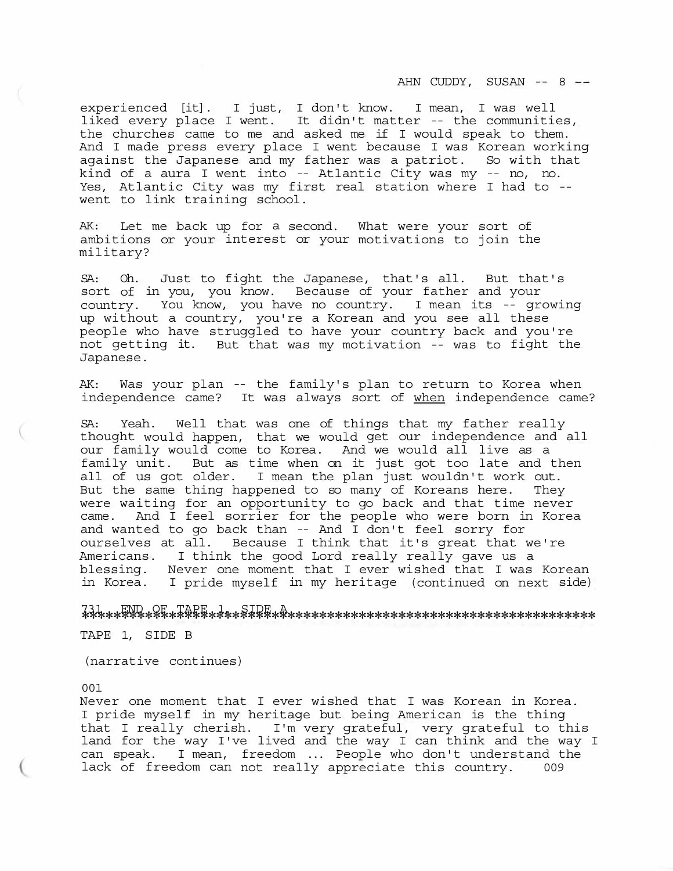AHN CUDDY, SUSAN -- 8

experienced [it]. I just, I don't know. I mean, I was well liked every place I went. It didn't matter -- the communities, the churches came to me and asked me if I would speak to them. And I made press every place I went because I was Korean working against the Japanese and my father was a patriot. So with that kind of a aura I went into -- Atlantic City was my -- no, no. Yes, Atlantic City was my first real station where I had to -- went to link training school.

AK: Let me back up for a second. What were your sort of ambitions or your interest or your motivations to join the military?

SA: Oh. Just to fight the Japanese, that's all. But that's sort of in you, you know. Because of your father and your country. You know, you have no country. I mean its -- growing up without a country, you're a Korean and you see all these people who have struggled to have your country back and you're not getting it. But that was my motivation -- was to fight the Japanese.

AK: Was your plan -- the family's plan to return to Korea when independence came? It was always sort of when independence came?

SA: Yeah. Well that was one of things that my father really thought would happen, that we would get our independence and all our family would come to Korea. And we would all live as a family unit. But as time when on it just got too late and then all of us got older. I mean the plan just wouldn't work out. But the same thing happened to so many of Koreans here. They were waiting for an opportunity to go back and that time never came. And I feel sorrier for the people who were born in Korea and wanted to go back than -- And I don't feel sorry for ourselves at all. Because I think that it's great that we're Americans. I think the good Lord really really gave us a blessing. Never one moment that I ever wished that I was Korean in Korea. I pride myself in my heritage (continued on next side)

<sup>731</sup>\*\*\*\*\*\*\*\*\*\*\*\*\*\*\*\*\*\*\*\*\*\*\*\*\*\*\*\*\*\*\*\*\*\*\*\*\*\*\*\*\*\*\*\*\*\*\*\*\*\*\*\*\*\*\*\*\*\*\*\*\*\*\*\*\* END OF TAPE 1, SIDE A

TAPE 1, SIDE B

(narrative continues)

001

Never one moment that I ever wished that I was Korean in Korea. I pride myself in my heritage but being American is the thing that I really cherish. I'm very grateful, very grateful to this land for the way I've lived and the way I can think and the way I can speak. I mean, freedom ... People who don't understand the lack of freedom can not really appreciate this country. 009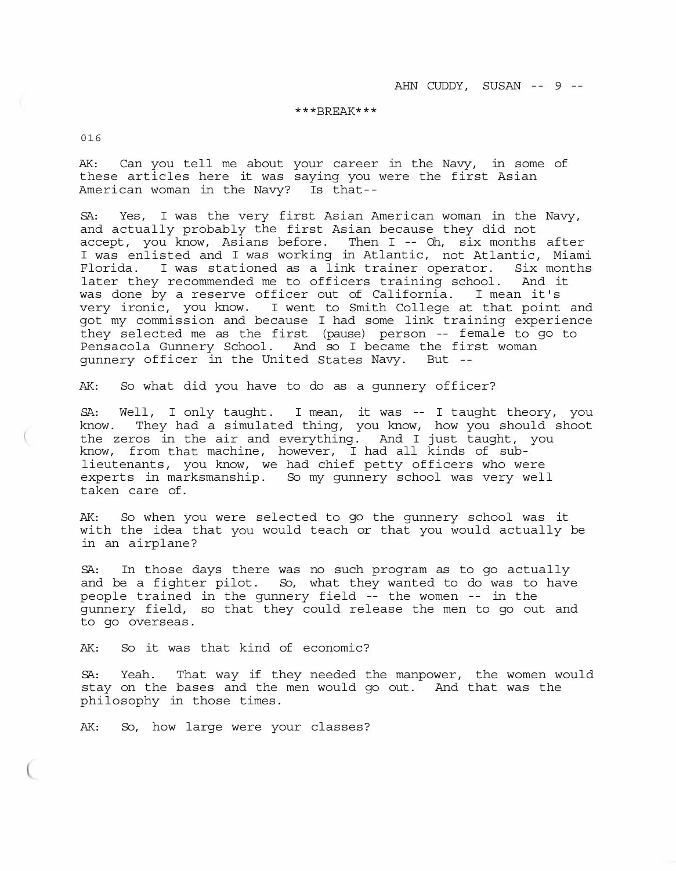# \*\*\*BREAK\*\*\*

016

AK: Can you tell me about your career in the Navy, in some of these articles here it was saying you were the first Asian American woman in the Navy? Is that--

SA: Yes, I was the very first Asian American woman in the Navy, and actually probably the first Asian because they did not accept, you know, Asians before. Then I -- Oh, six months after I was enlisted and I was working in Atlantic, not Atlantic, Miami Florida. I was stationed as a link trainer operator. Six months later they recommended me to officers training school. And it was done by a reserve officer out of California. I mean it's very ironic, you know. I went to Smith College at that point and got my commission and because I had some link training experience they selected me as the first (pause) person -- female to go to Pensacola Gunnery School. And so I became the first woman gunnery officer in the United States Navy. But --

AK: So what did you have to do as a gunnery officer?

SA: Well, I only taught. I mean, it was -- I taught theory, you know. They had a simulated thing, you know, how you should shoot the zeros in the air and everything. And I just taught, you know, from that machine, however, I had all kinds of sublieutenants, you know, we had chief petty officers who were experts in marksmanship. So my gunnery school was very well taken care of.

AK: So when you were selected to go the gunnery school was it with the idea that you would teach or that you would actually be in an airplane?

SA: In those days there was no such program as to go actually and be a fighter pilot. So, what they wanted to do was to have people trained in the gunnery field -- the women -- in the gunnery field, so that they could release the men to go out and to go overseas.

AK: So it was that kind of economic?

SA: Yeah. That way if they needed the manpower, the women would stay on the bases and the men would go out. And that was the philosophy in those times.

AK: So, how large were your classes?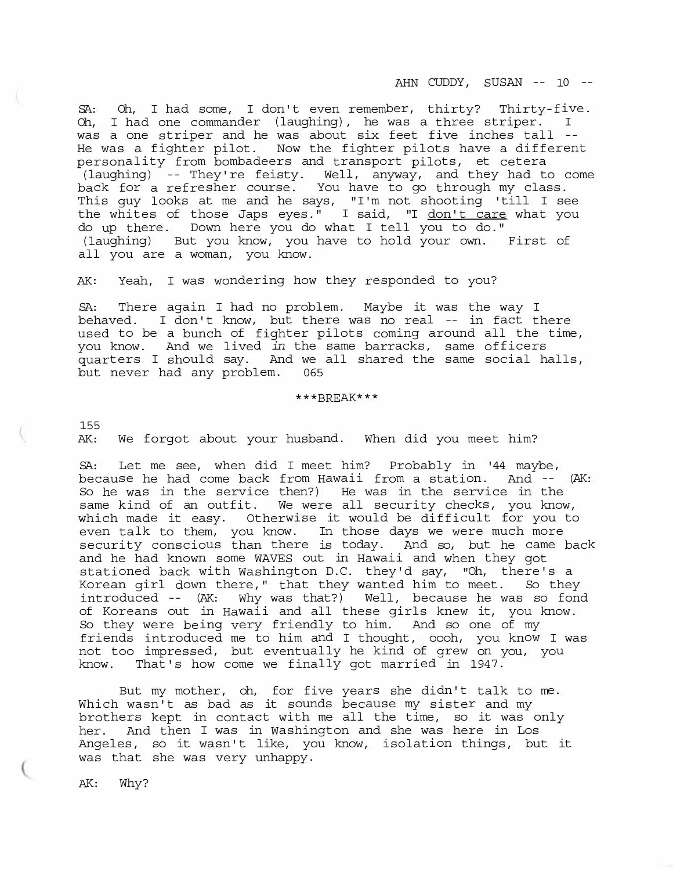AHN CUDDY, SUSAN -- 10 --

SA: Oh, I had some, I don't even remember, thirty? Thirty-five. Oh, I had one commander (laughing), he was a three striper. I was a one striper and he was about six feet five inches tall -- He was a fighter pilot. Now the fighter pilots have a different personality from bombadeers and transport pilots, et cetera (laughing) -- They're feisty. Well, anyway, and they had to come back for a refresher course. You have to go through my class. This guy looks at me and he says, "I'm not shooting 'till I see the whites of those Japs eyes." I said, "I <u>don't care</u> what you do up there. Down here you do what I tell you to do." (laughing) But you know, you have to hold your own. First of all you are a woman, you know.

AK: Yeah, I was wondering how they responded to you?

SA: There again I had no problem. Maybe it was the way I behaved. I don't know, but there was no real -- in fact there used to be a bunch of fighter pilots coming around all the time, you know. And we lived *in* the same barracks, same officers quarters I should say. And we all shared the same social halls, but never had any problem. 065

\*\*\*BREAK\*\*\*

155

AK: We forgot about your husband. When did you meet him?

SA: Let me see, when did I meet him? Probably in '44 maybe, because he had come back from Hawaii from a station. And -- (AK: So he was in the service then?) He was in the service in the same kind of an outfit. We were all security checks, you know, which made it easy. Otherwise it would be difficult for you to even talk to them, you know. In those days we were much more security conscious than there is today. And so, but he came back and he had known some WAVES out in Hawaii and when they got stationed back with Washington D.C. they'd say, "Oh, there's a Korean girl down there," that they wanted him to meet. So they introduced -- (AK: Why was that?) Well, because he was so fond of Koreans out in Hawaii and all these girls knew it, you know. So they were being very friendly to him. And so one of my friends introduced me to him and I thought, oooh, you know I was not too impressed, but eventually he kind of grew on you, you know. That's how come we finally got married in 1947.

But my mother, oh, for five years she didn't talk to me. Which wasn't as bad as it sounds because my sister and my brothers kept in contact with me all the time, so it was only her. And then I was in Washington and she was here in Los Angeles, so it wasn't like, you know, isolation things, but it was that she was very unhappy.

AK: Why?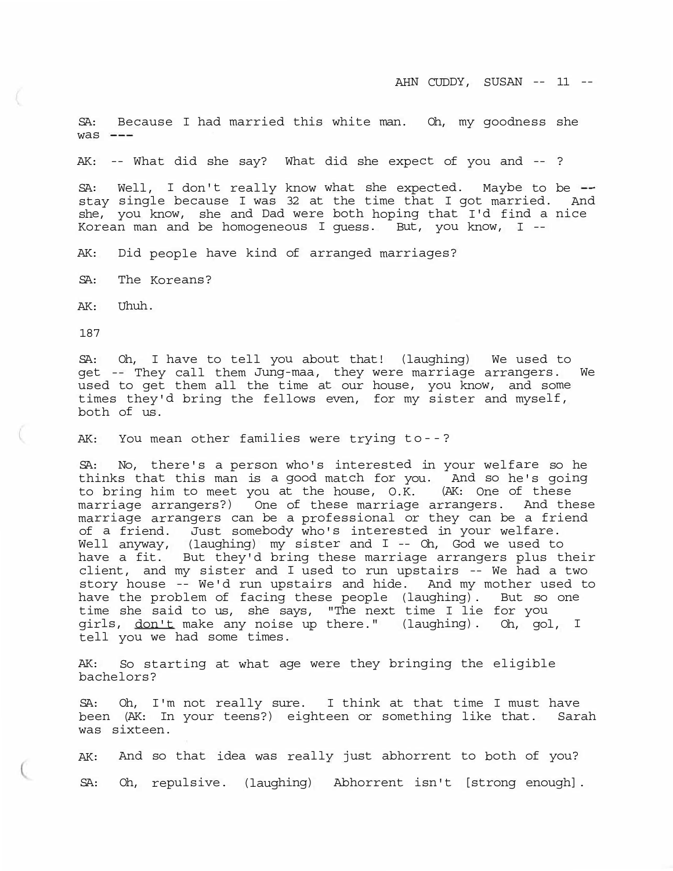SA: Because I had married this white man. Oh, my goodness she  $was$   $---$ 

AK: -- What did she say? What did she expect of you and -- ?

 $SA:$  Well, I don't really know what she expected. Maybe to be  $$ stay single because I was 32 at the time that I got married. And she, you know, she and Dad were both hoping that I'd find a nice Korean man and be homogeneous I guess. But, you know, I --

AK: Did people have kind of arranged marriages?

SA: The Koreans?

AK: Uhuh.

187

SA: Oh, I have to tell you about that! (laughing) We used to get -- They call them Jung-maa, they were marriage arrangers. We used to get them all the time at our house, you know, and some times they'd bring the fellows even, for my sister and myself, both of us.

AK: You mean other families were trying to--?

SA: No, there's a person who's interested in your welfare so he thinks that this man is a good match for you. And so he's going to bring him to meet you at the house, O.K. (AK: One of these marriage arrangers?) One of these marriage arrangers. And these marriage arrangers can be a professional or they can be a friend of a friend. Just somebody who's interested in your welfare. Well anyway, (laughing) my sister and I -- Oh, God we used to have a fit. But they'd bring these marriage arrangers plus their client, and my sister and I used to run upstairs -- We had a two story house -- We'd run upstairs and hide. And my mother used to have the problem of facing these people (laughing). But so one time she said to us, she says, "The next time I lie for you girls, don't make any noise up there." (laughing). Oh, gol, I tell you we had some times.

AK: So starting at what age were they bringing the eligible bachelors?

SA: Oh, I'm not really sure. I think at that time I must have been (AK: In your teens?) eighteen or something like that. Sarah was sixteen.

AK: And so that idea was really just abhorrent to both of you? SA: Oh, repulsive. (laughing) Abhorrent isn't [strong enough].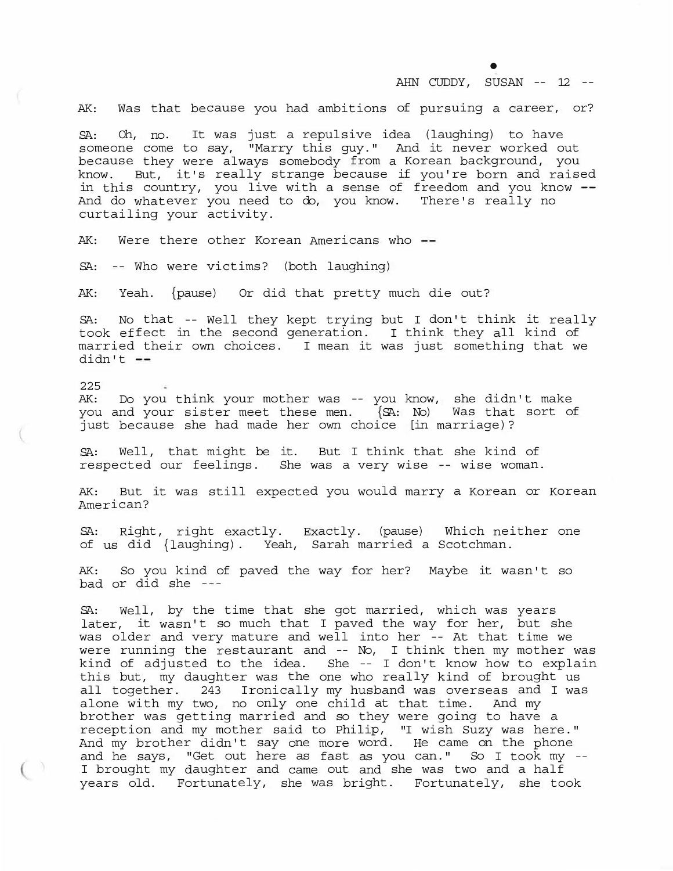• AHN CUDDY, SUSAN -- 12 --

AK: Was that because you had ambitions of pursuing a career, or?

SA: Oh, no. It was just a repulsive idea (laughing) to have someone come to say, "Marry this guy." And it never worked out because they were always somebody from a Korean background, you know. But, it's really strange because if you're born and raised in this country, you live with a sense of freedom and you know --And do whatever you need to do, you know. There's really no curtailing your activity.

AK: Were there other Korean Americans who --

SA: -- Who were victims? (both laughing)

AK: Yeah. {pause) Or did that pretty much die out?

SA: No that -- Well they kept trying but I don't think it really took effect in the second generation. I think they all kind of married their own choices. I mean it was just something that we didn't --

225 AK: Do you think your mother was -- you know, she didn't make<br>you and your sister meet these men. {SA: No) Was that sort of you and your sister meet these men.  $\{SA: No\}$ just because she had made her own choice [in marriage)?

SA: Well, that might be it. But I think that she kind of respected our feelings. She was a very wise -- wise woman.

AK: But it was still expected you would marry a Korean or Korean American?

SA: Right, right exactly. Exactly. (pause) Which neither one of us did {laughing). Yeah, Sarah married a Scotchman.

AK: So you kind of paved the way for her? Maybe it wasn't so bad or did she ---

SA: Well, by the time that she got married, which was years later, it wasn't so much that I paved the way for her, but she was older and very mature and well into her -- At that time we were running the restaurant and -- No, I think then my mother was kind of adjusted to the idea. She -- I don't know how to explain this but, my daughter was the one who really kind of brought us all together. 243 Ironically my husband was overseas and I was alone with my two, no only one child at that time. And my brother was getting married and so they were going to have a reception and my mother said to Philip, "I wish Suzy was here." And my brother didn't say one more word. He came on the phone and he says, "Get out here as fast as you can." So I took my -- I brought my daughter and came out and she was two and a half years old. Fortunately, she was bright. Fortunately, she took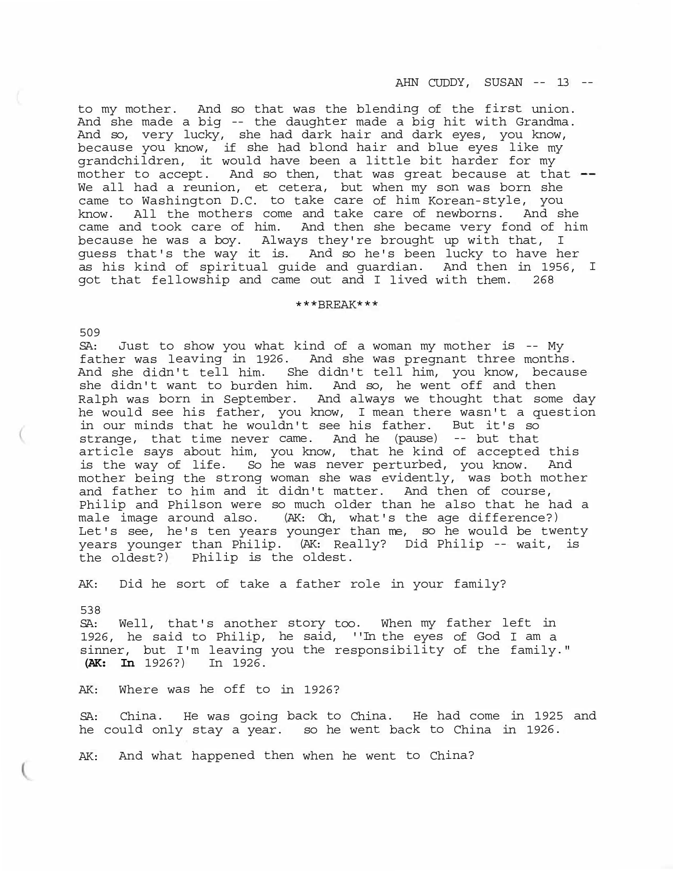to my mother. And so that was the blending of the first union. And she made a big -- the daughter made a big hit with Grandma. And so, very lucky, she had dark hair and dark eyes, you know, because you know, if she had blond hair and blue eyes like my grandchildren, it would have been a little bit harder for my mother to accept. And so then, that was great because at that We all had a reunion, et cetera, but when my son was born she came to Washington D.C. to take care of him Korean-style, you know. All the mothers come and take care of newborns. And she came and took care of him. And then she became very fond of him because he was a boy. Always they're brought up with that, I guess that's the way it is. And so he's been lucky to have her as his kind of spiritual guide and guardian. And then in 1956, I got that fellowship and came out and I lived with them. 268

### \*\*\*BREAK\*\*\*

509

SA: Just to show you what kind of a woman my mother is -- My father was leaving in 1926. And she was pregnant three months. And she didn't tell him. She didn't tell him, you know, because she didn't want to burden him. And so, he went off and then Ralph was born in September. And always we thought that some day he would see his father, you know, I mean there wasn't a question in our minds that he wouldn't see his father. But it's so strange, that time never came. And he (pause) -- but that article says about him, you know, that he kind of accepted this is the way of life. So he was never perturbed, you know. And mother being the strong woman she was evidently, was both mother and father to him and it didn't matter. And then of course, Philip and Philson were so much older than he also that he had a male image around also. (AK: Oh, what's the age difference?) Let's see, he's ten years younger than me, so he would be twenty years younger than Philip. (AK: Really? Did Philip -- wait, is the oldest?) Philip is the oldest.

AK: Did he sort of take a father role in your family?

538 SA: Well, that's another story too. When my father left in 1926, he said to Philip, he said, ''In the eyes of God I am a sinner, but I'm leaving you the responsibility of the family." **(AK: In** 1926?) In 1926.

AK: Where was he off to in 1926?

SA: China. He was going back to China. He had come in 1925 and he could only stay a year. so he went back to China in 1926.

AK: And what happened then when he went to China?

AHN CUDDY, SUSAN -- 13 --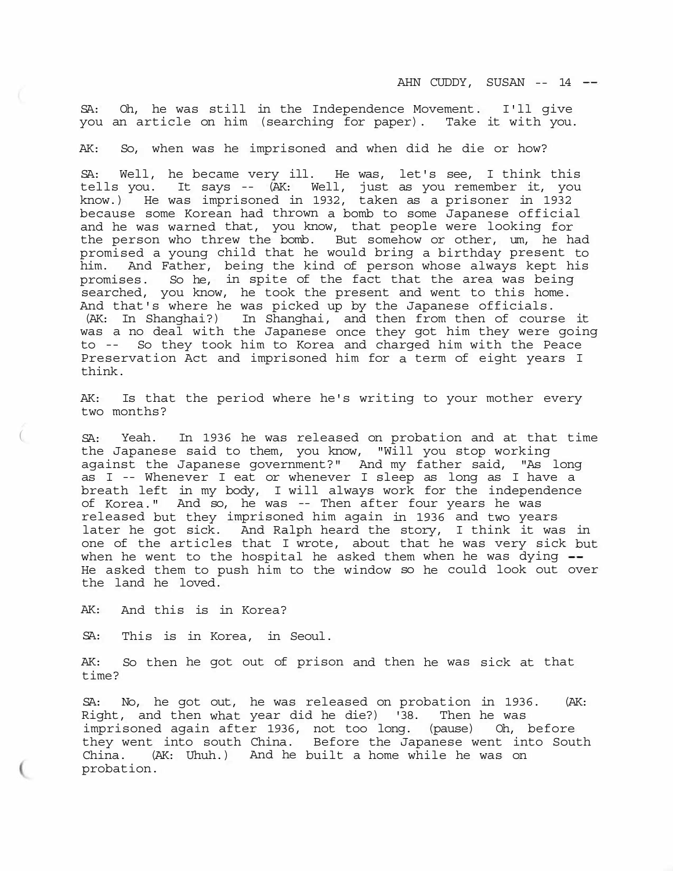AHN CUDDY, SUSAN -- 14

SA: Oh, he was still in the Independence Movement. I'll give you an article on him (searching for paper). Take it with you.

AK: So, when was he imprisoned and when did he die or how?

SA: Well, he became very ill. He was, let's see, I think this tells you. It says -- (AK: Well, just as you remember it, you know.) He was imprisoned in 1932, taken as a prisoner in 1932 because some Korean had thrown a bomb to some Japanese official and he was warned that, you know, that people were looking for the person who threw the bomb. But somehow or other, um, he had promised a young child that he would bring a birthday present to him. And Father, being the kind of person whose always kept his promises. So he, in spite of the fact that the area was being searched, you know, he took the present and went to this home. And that's where he was picked up by the Japanese officials. (AK: In Shanghai?) In Shanghai, and then from then of course it was a no deal with the Japanese once they got him they were going to -- So they took him to Korea and charged him with the Peace Preservation Act and imprisoned him for a term of eight years I think.

AK: Is that the period where he's writing to your mother every two months?

SA: Yeah. In 1936 he was released on probation and at that time the Japanese said to them, you know, "Will you stop working against the Japanese government?" And my father said, "As long as I -- Whenever I eat or whenever I sleep as long as I have a breath left in my body, I will always work for the independence of Korea." And so, he was -- Then after four years he was released but they imprisoned him again in 1936 and two years later he got sick. And Ralph heard the story, I think it was in one of the articles that I wrote, about that he was very sick but when he went to the hospital he asked them when he was dying  $-$ He asked them to push him to the window so he could look out over the land he loved.

AK: And this is in Korea?

SA: This is in Korea, in Seoul.

AK: So then he got out of prison and then he was sick at that time?

SA: No, he got out, he was released on probation in 1936. (AK: Right, and then what year did he die?) '38. Then he was imprisoned again after 1936, not too long. (pause) Oh, before they went into south China. Before the Japanese went into South China. (AK: Uhuh.) And he built a home while he was on probation.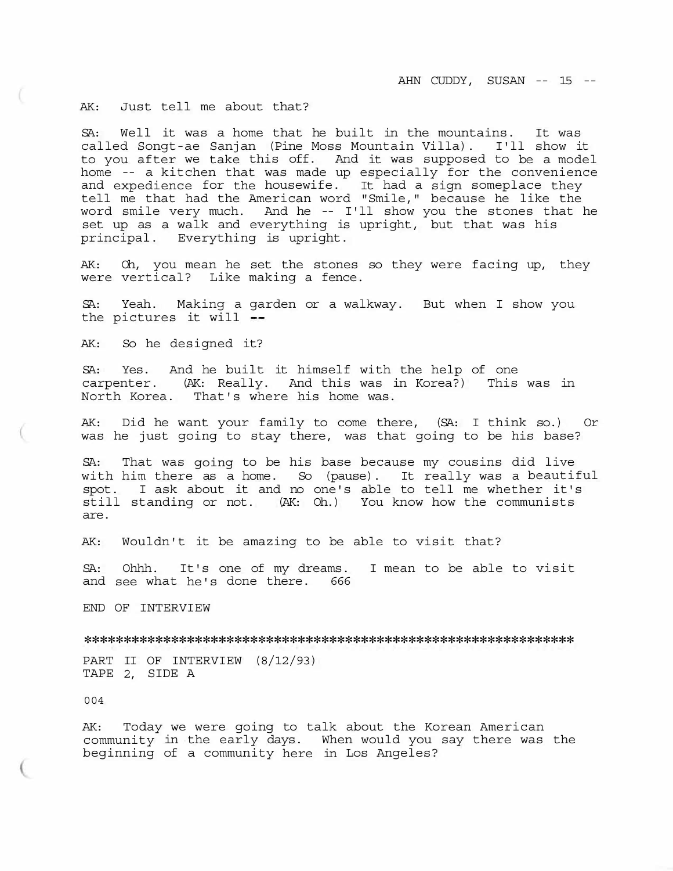AK: Just tell me about that?

SA: Well it was a home that he built in the mountains. It was called Songt-ae Sanjan (Pine Moss Mountain Villa). I'll show it to you after we take this off. And it was supposed to be a model home -- a kitchen that was made up especially for the convenience and expedience for the housewife. It had a sign someplace they tell me that had the American word "Smile," because he like the word smile very much. And he -- I'll show you the stones that he set up as a walk and everything is upright, but that was his principal. Everything is upright.

AK: Oh, you mean he set the stones so they were facing up, they were vertical? Like making a fence.

SA: Yeah. Making a garden or a walkway. But when I show you the pictures it will

AK: So he designed it?

SA: Yes. And he built it himself with the help of one carpenter. (AK: Really. And this was in Korea?) This was in North Korea. That's where his home was.

AK: Did he want your family to come there, (SA: I think so.) Or was he just going to stay there, was that going to be his base?

SA: That was going to be his base because my cousins did live with him there as a home. So (pause). It really was a beautiful spot. I ask about it and no one's able to tell me whether it's still standing or not. (AK: Oh.) You know how the communists are.

AK: Wouldn't it be amazing to be able to visit that?

SA: Ohhh. It's one of my dreams. I mean to be able to visit and see what he's done there. 666

END OF INTERVIEW

\*\*\*\*\*\*\*\*\*\*\*\*\*\*\*\*\*\*\*\*\*\*\*\*\*\*\*\*\*\*\*\*\*\*\*\*\*\*\*\*\*\*\*\*\*\*\*\*\*\*\*\*\*\*\*\*\*\*\*\*\*\*

PART II OF INTERVIEW (8/12/93) TAPE 2, SIDE A

004

AK: Today we were going to talk about the Korean American community in the early days. When would you say there was the beginning of a community here in Los Angeles?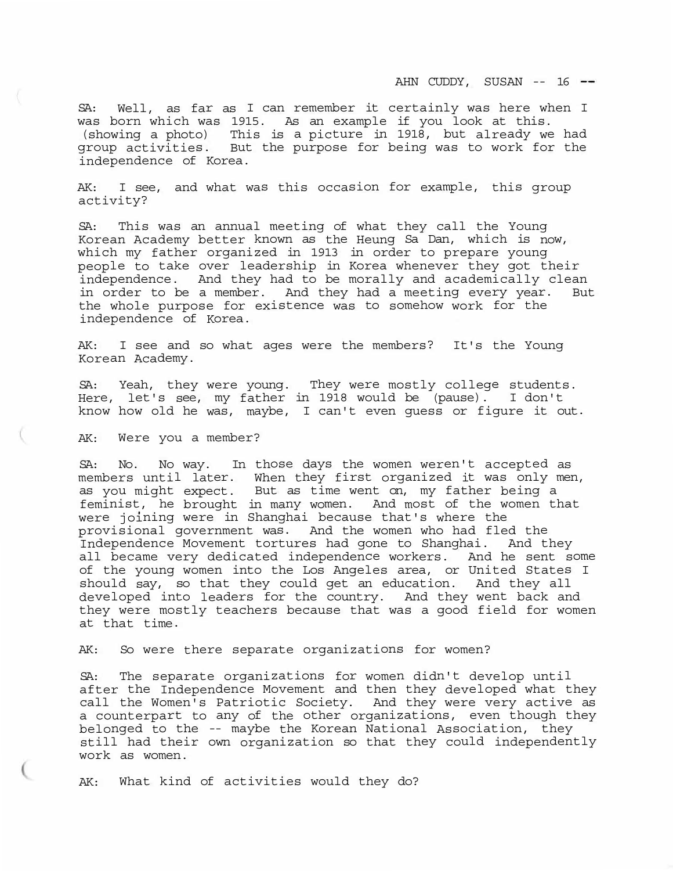SA: Well, as far as I can remember it certainly was here when I was born which was 1915. As an example if you look at this. (showing a photo) This is a picture in 1918, but already we had group activities. But the purpose for being was to work for the independence of Korea.

AK: I see, and what was this occasion for example, this group activity?

SA: This was an annual meeting of what they call the Young Korean Academy better known as the Heung Sa Dan, which is now, which my father organized in 1913 in order to prepare young people to take over leadership in Korea whenever they got their independence. And they had to be morally and academically clean in order to be a member. And they had a meeting every year. But the whole purpose for existence was to somehow work for the independence of Korea.

AK: I see and so what ages were the members? It's the Young Korean Academy.

SA: Yeah, they were young. They were mostly college students. Here, let's see, my father in 1918 would be (pause). I don't know how old he was, maybe, I can't even guess or figure it out.

AK: Were you a member?

SA: No. No way. In those days the women weren't accepted as members until later. When they first organized it was only men, as you might expect. But as time went on, my father being a feminist, he brought in many women. And most of the women that were joining were in Shanghai because that's where the provisional government was. And the women who had fled the Independence Movement tortures had gone to Shanghai. And they all became very dedicated independence workers. And he sent some of the young women into the Los Angeles area, or United States I should say, so that they could get an education. And they all developed into leaders for the country. And they went back and they were mostly teachers because that was a good field for women at that time.

AK: So were there separate organizations for women?

SA: The separate organizations for women didn't develop until after the Independence Movement and then they developed what they call the Women's Patriotic Society. And they were very active as a counterpart to any of the other organizations, even though they belonged to the -- maybe the Korean National Association, they still had their own organization so that they could independently work as women.

AK: What kind of activities would they do?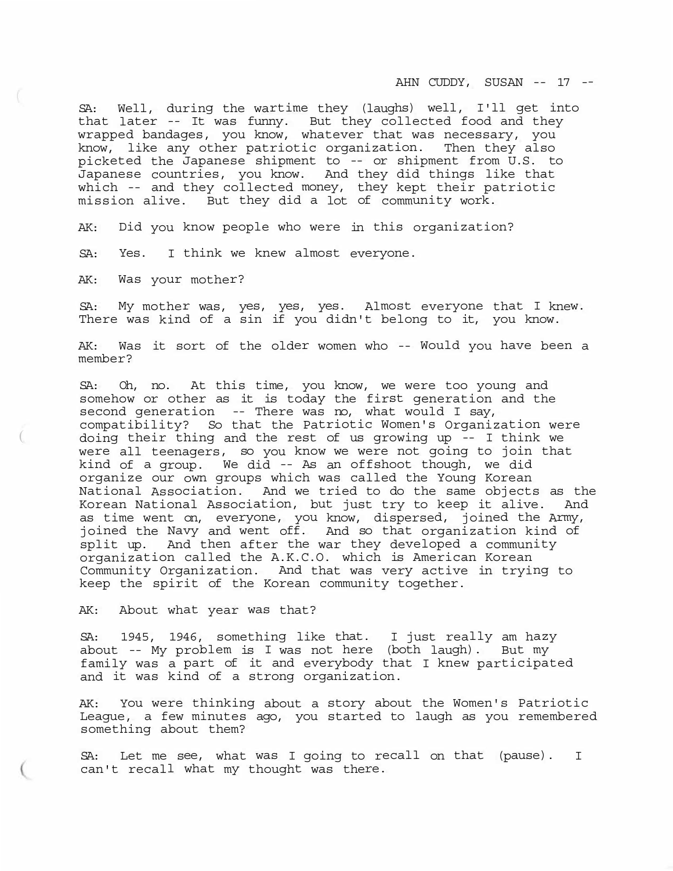AHN CUDDY, SUSAN -- 17 --

SA: Well, during the wartime they (laughs) well, I'll get into that later -- It was funny. But they collected food and they wrapped bandages, you know, whatever that was necessary, you know, like any other patriotic organization. Then they also picketed the Japanese shipment to -- or shipment from U.S. to Japanese countries, you know. And they did things like that which -- and they collected money, they kept their patriotic mission alive. But they did a lot of community work.

AK: Did you know people who were in this organization?

SA: Yes. I think we knew almost everyone.

AK: Was your mother?

(

SA: My mother was, yes, yes, yes. Almost everyone that I knew. There was kind of a sin if you didn't belong to it, you know.

AK: Was it sort of the older women who -- Would you have been a member?

SA: Oh, no. At this time, you know, we were too young and somehow or other as it is today the first generation and the second generation -- There was no, what would I say, compatibility? So that the Patriotic Women's Organization were doing their thing and the rest of us growing up -- I think we were all teenagers, so you know we were not going to join that kind of a group. We did -- As an offshoot though, we did organize our own groups which was called the Young Korean National Association. And we tried to do the same objects as the Korean National Association, but just try to keep it alive. And as time went on, everyone, you know, dispersed, joined the Army, joined the Navy and went off. And so that organization kind of split up. And then after the war they developed a community organization called the A.K.C.O. which is American Korean Community Organization. And that was very active in trying to keep the spirit of the Korean community together.

AK: About what year was that?

SA: 1945, 1946, something like that. I just really am hazy about -- My problem is I was not here (both laugh). But my family was a part of it and everybody that I knew participated and it was kind of a strong organization.

AK: You were thinking about a story about the Women's Patriotic League, a few minutes ago, you started to laugh as you remembered something about them?

SA: Let me see, what was I going to recall on that (pause). I can't recall what my thought was there.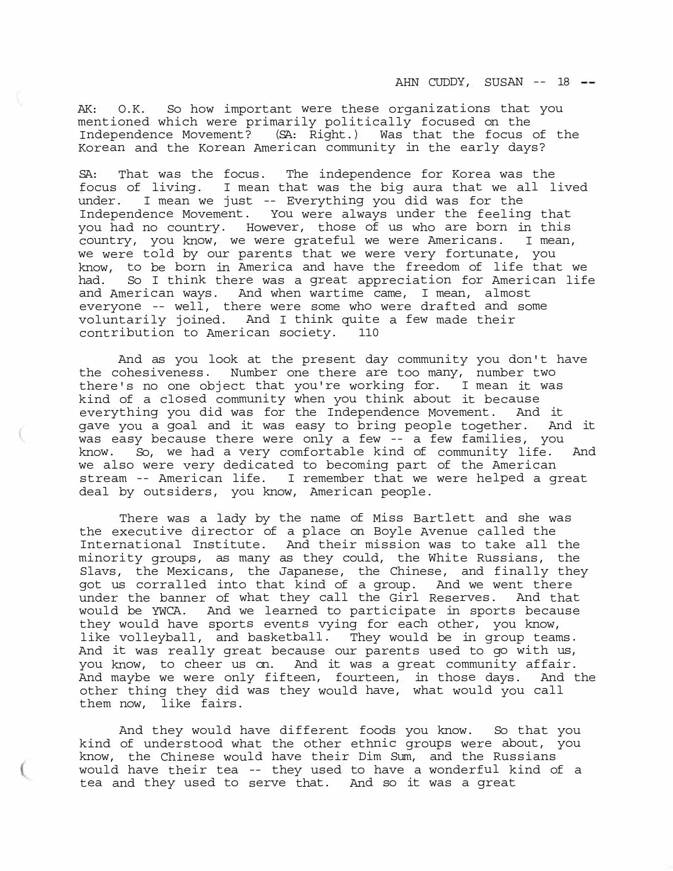AHN CUDDY, SUSAN -- 18 --

AK: O.K. So how important were these organizations that you mentioned which were primarily politically focused on the Independence Movement? (SA: Right.) Was that the focus of the Korean and the Korean American community in the early days?

SA: That was the focus. The independence for Korea was the focus of living. I mean that was the big aura that we all lived under. I mean we just -- Everything you did was for the Independence Movement. You were always under the feeling that you had no country. However, those of us who are born in this country, you know, we were grateful we were Americans. I mean, we were told by our parents that we were very fortunate, you know, to be born in America and have the freedom of life that we had. So I think there was a great appreciation for American life and American ways. And when wartime came, I mean, almost everyone -- well, there were some who were drafted and some voluntarily joined. And I think quite a few made their contribution to American society. 110

And as you look at the present day community you don't have the cohesiveness. Number one there are too many, number two there's no one object that you're working for. I mean it was kind of a closed community when you think about it because everything you did was for the Independence Movement. And it gave you a goal and it was easy to bring people together. And it was easy because there were only a few -- a few families, you know. So, we had a very comfortable kind of community life. And we also were very dedicated to becoming part of the American stream -- American life. I remember that we were helped a great deal by outsiders, you know, American people.

There was a lady by the name of Miss Bartlett and she was the executive director of a place on Boyle Avenue called the International Institute. And their mission was to take all the minority groups, as many as they could, the White Russians, the Slavs, the Mexicans, the Japanese, the Chinese, and finally they got us corralled into that kind of a group. And we went there under the banner of what they call the Girl Reserves. And that would be YWCA. And we learned to participate in sports because they would have sports events vying for each other, you know, like volleyball, and basketball. They would be in group teams. And it was really great because our parents used to go with us, you know, to cheer us on. And it was a great community affair. And maybe we were only fifteen, fourteen, in those days. And the other thing they did was they would have, what would you call them now, like fairs.

And they would have different foods you know. So that you kind of understood what the other ethnic groups were about, you know, the Chinese would have their Dim Sum, and the Russians would have their tea -- they used to have a wonderful kind of a tea and they used to serve that. And so it was a great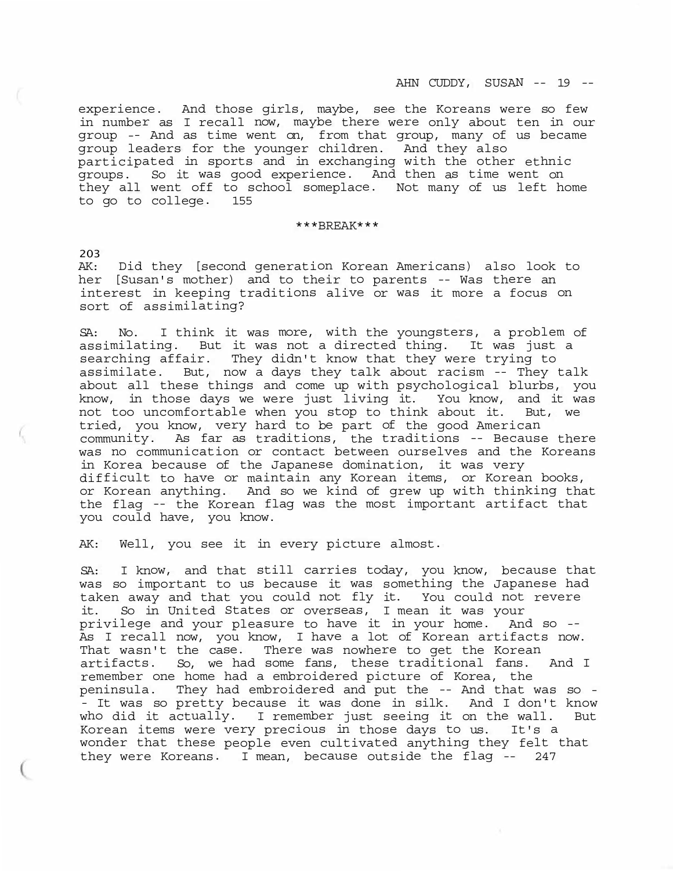experience. And those girls, maybe, see the Koreans were so few in number as I recall now, maybe there were only about ten in our group -- And as time went on, from that group, many of us became group leaders for the younger children. And they also participated in sports and in exchanging with the other ethnic groups. So it was good experience. And then as time went on they all went off to school someplace. Not many of us left home to go to college. 155

### \*\*\*BREAK\*\*\*

203

AK: Did they [second generation Korean Americans) also look to her [Susan's mother) and to their to parents -- Was there an interest in keeping traditions alive or was it more a focus on sort of assimilating?

SA: No. I think it was more, with the youngsters, a problem of assimilating. But it was not a directed thing. It was just a searching affair. They didn't know that they were trying to assimilate. But, now a days they talk about racism -- They talk about all these things and come up with psychological blurbs, you know, in those days we were just living it. You know, and it was not too uncomfortable when you stop to think about it. But, we tried, you know, very hard to be part of the good American community. As far as traditions, the traditions -- Because there was no communication or contact between ourselves and the Koreans in Korea because of the Japanese domination, it was very difficult to have or maintain any Korean items, or Korean books, or Korean anything. And so we kind of grew up with thinking that the flag -- the Korean flag was the most important artifact that you could have, you know.

AK: Well, you see it in every picture almost.

SA: I know, and that still carries today, you know, because that was so important to us because it was something the Japanese had taken away and that you could not fly it. You could not revere it. So in United States or overseas, I mean it was your privilege and your pleasure to have it in your home. And so -- As I recall now, you know, I have a lot of Korean artifacts now. That wasn't the case. There was nowhere to get the Korean artifacts. So, we had some fans, these traditional fans. And I remember one home had a embroidered picture of Korea, the peninsula. They had embroidered and put the -- And that was so - - It was so pretty because it was done in silk. And I don't know who did it actually. I remember just seeing it on the wall. But Korean items were very precious in those days to us. It's a wonder that these people even cultivated anything they felt that they were Koreans. I mean, because outside the flag -- <sup>247</sup>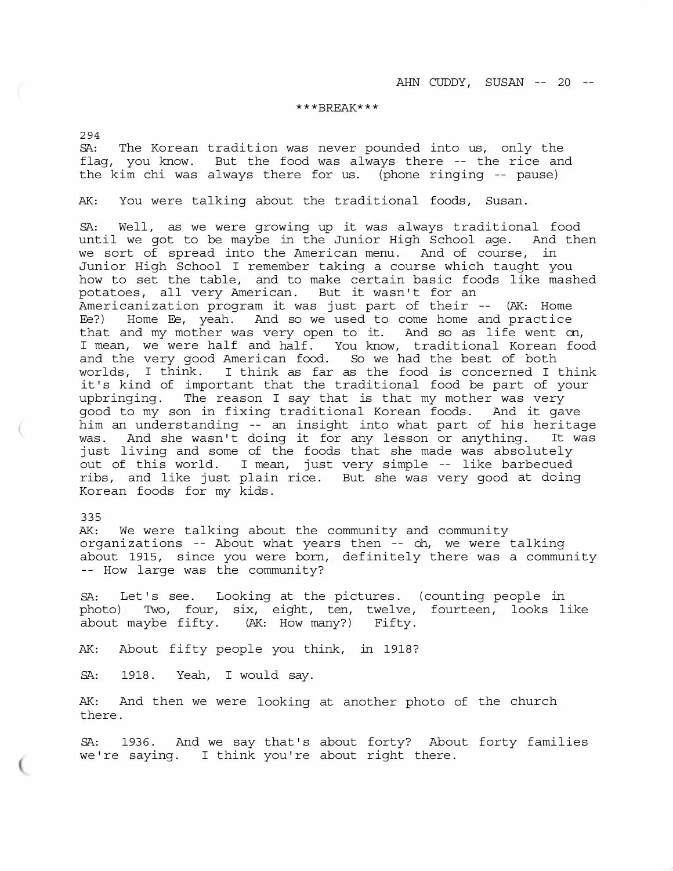### \*\*\*BREAK\*\*\*

294

SA: The Korean tradition was never pounded into us, only the flag, you know. But the food was always there -- the rice and the kim chi was always there for us. (phone ringing -- pause)

AK: You were talking about the traditional foods, Susan.

SA: Well, as we were growing up it was always traditional food until we got to be maybe in the Junior High School age. And then we sort of spread into the American menu. And of course, in Junior High School I remember taking a course which taught you how to set the table, and to make certain basic foods like mashed potatoes, all very American. But it wasn't for an Americanization program it was just part of their -- (AK: Home Ee?) Home Ee, yeah. And so we used to come home and practice that and my mother was very open to it. And so as life went on, I mean, we were half and half. You know, traditional Korean food and the very good American food. So we had the best of both worlds, I think. I think as far as the food is concerned I think it's kind of important that the traditional food be part of your upbringing. The reason I say that is that my mother was very good to my son in fixing traditional Korean foods. And it gave him an understanding -- an insight into what part of his heritage was. And she wasn't doing it for any lesson or anything. It was just living and some of the foods that she made was absolutely out of this world. I mean, just very simple -- like barbecued ribs, and like just plain rice. But she was very good at doing Korean foods for my kids.

#### 335

AK: We were talking about the community and community organizations -- About what years then -- oh, we were talking about 1915, since you were born, definitely there was a community -- How large was the community?

SA: Let's see. Looking at the pictures. (counting people in photo) Two, four, six, eight, ten, twelve, fourteen, looks like about maybe fifty. (AK: How many?) Fifty.

AK: About fifty people you think, in 1918?

SA: 1918. Yeah, I would say.

AK: And then we were looking at another photo of the church there.

SA: 1936. And we say that's about forty? About forty families we're saying. I think you're about right there.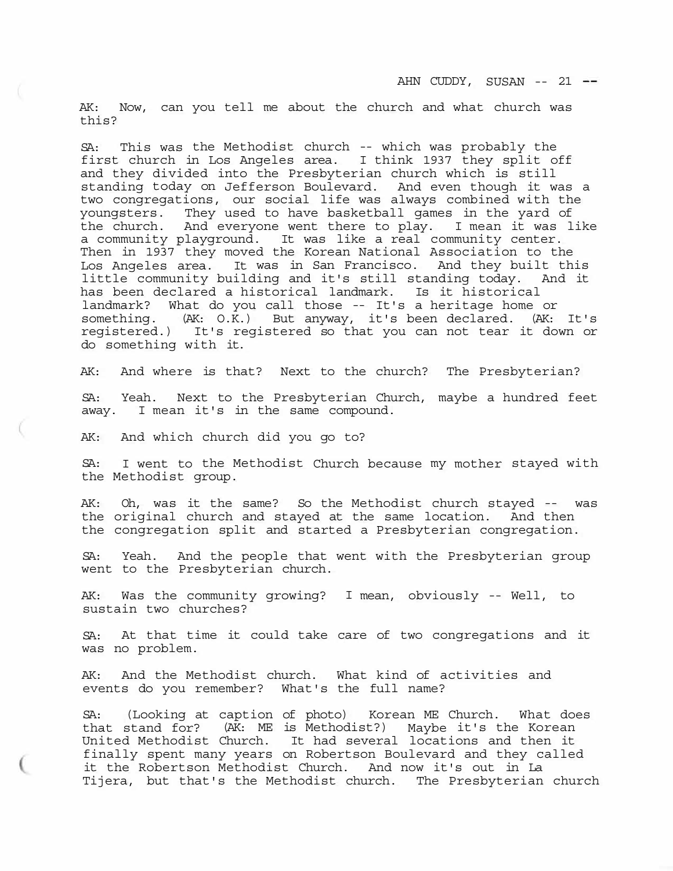AK: Now, can you tell me about the church and what church was this?

SA: This was the Methodist church -- which was probably the first church in Los Angeles area. I think 1937 they split off and they divided into the Presbyterian church which is still standing today on Jefferson Boulevard. And even though it was a two congregations, our social life was always combined with the youngsters. They used to have basketball games in the yard of the church. And everyone went there to play. I mean it was like a community playground. It was like a real community center. Then in 1937 they moved the Korean National Association to the Los Angeles area. It was in San Francisco. And they built this little community building and it's still standing today. And it has been declared a historical landmark. Is it historical landmark? What do you call those -- It's a heritage home or something. (AK: O.K.) But anyway, it's been declared. (AK: It's registered.) It's registered so that you can not tear it down or do something with it.

AK: And where is that? Next to the church? The Presbyterian?

SA: Yeah. Next to the Presbyterian Church, maybe a hundred feet away. I mean it's in the same compound.

AK: And which church did you go to?

SA: I went to the Methodist Church because my mother stayed with the Methodist group.

AK: Oh, was it the same? So the Methodist church stayed -- was the original church and stayed at the same location. And then the congregation split and started a Presbyterian congregation.

SA: Yeah. And the people that went with the Presbyterian group went to the Presbyterian church.

AK: Was the community growing? I mean, obviously -- Well, to sustain two churches?

SA: At that time it could take care of two congregations and it was no problem.

AK: And the Methodist church. What kind of activities and events do you remember? What's the full name?

SA: (Looking at caption of photo) Korean ME Church. What does that stand for? (AK: ME is Methodist?) Maybe it's the Korean United Methodist Church. It had several locations and then it finally spent many years on Robertson Boulevard and they called it the Robertson Methodist Church. And now it's out in La Tijera, but that's the Methodist church. The Presbyterian church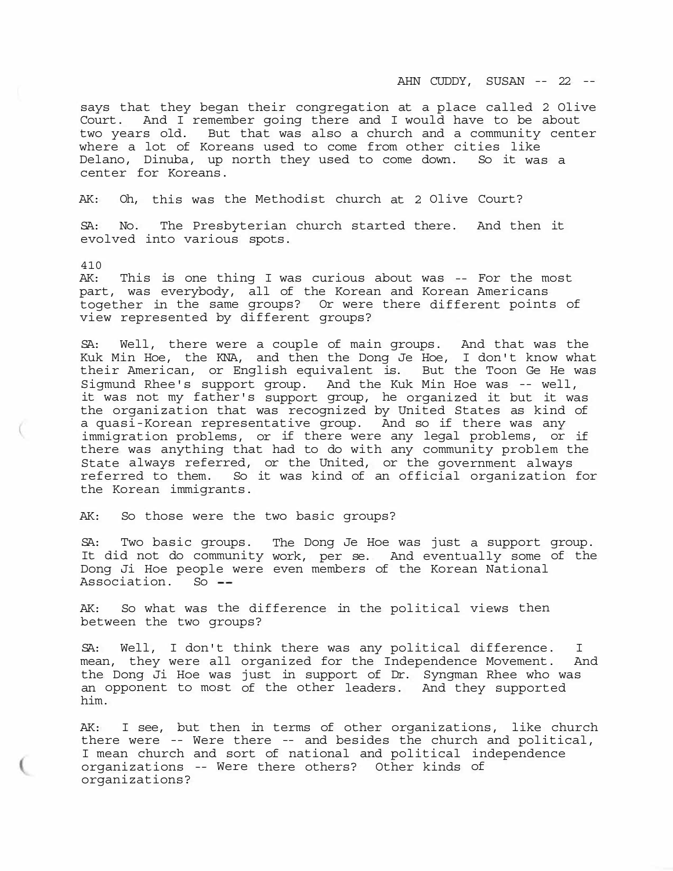AHN CUDDY, SUSAN -- 22 --

says that they began their congregation at a place called 2 Olive Court. And I remember going there and I would have to be about two years old. But that was also a church and a community center where a lot of Koreans used to come from other cities like Delano, Dinuba, up north they used to come down. So it was a center for Koreans.

AK: Oh, this was the Methodist church at 2 Olive Court?

SA: No. The Presbyterian church started there. And then it evolved into various spots.

410

AK: This is one thing I was curious about was -- For the most part, was everybody, all of the Korean and Korean Americans together in the same groups? Or were there different points of view represented by different groups?

SA: Well, there were a couple of main groups. And that was the Kuk Min Hoe, the KNA, and then the Dong Je Hoe, I don't know what their American, or English equivalent is. But the Toon Ge He was Sigmund Rhee's support group. And the Kuk Min Hoe was -- well, it was not my father's support group, he organized it but it was the organization that was recognized by United States as kind of a quasi-Korean representative group. And so if there was any immigration problems, or if there were any legal problems, or if there was anything that had to do with any community problem the State always referred, or the United, or the government always referred to them. So it was kind of an official organization for the Korean immigrants.

AK: So those were the two basic groups?

SA: Two basic groups. The Dong Je Hoe was just a support group. It did not do community work, per se. And eventually some of the Dong Ji Hoe people were even members of the Korean National<br>Association. So --Association.

AK: So what was the difference in the political views then between the two groups?

SA: Well, I don't think there was any political difference. I mean, they were all organized for the Independence Movement. And the Dong Ji Hoe was just in support of Dr. Syngman Rhee who was an opponent to most of the other leaders. And they supported him.

AK: I see, but then in terms of other organizations, like church there were -- Were there -- and besides the church and political, I mean church and sort of national and political independence organizations -- Were there others? Other kinds of organizations?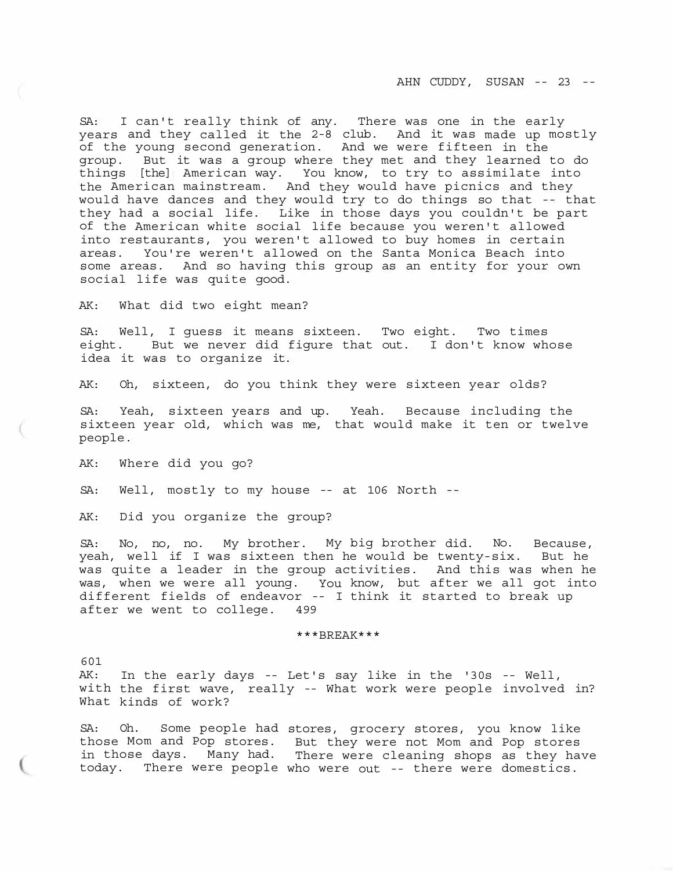AHN CUDDY, SUSAN -- 23 --

SA: I can't really think of any. There was one in the early years and they called it the 2-8 club. And it was made up mostly of the young second generation. And we were fifteen in the group. But it was a group where they met and they learned to do things [the] American way. You know, to try to assimilate into the American mainstream. And they would have picnics and they would have dances and they would try to do things so that -- that they had a social life. Like in those days you couldn't be part of the American white social life because you weren't allowed into restaurants, you weren't allowed to buy homes in certain areas. You're weren't allowed on the Santa Monica Beach into some areas. And so having this group as an entity for your own social life was quite good.

AK: What did two eight mean?

SA: Well, I guess it means sixteen. Two eight. Two times eight. But we never did figure that out. I don't know whose idea it was to organize it.

AK: Oh, sixteen, do you think they were sixteen year olds?

SA: Yeah, sixteen years and up. Yeah. Because including the sixteen year old, which was me, that would make it ten or twelve people.

AK: Where did you go?

SA: Well, mostly to my house -- at 106 North --

AK: Did you organize the group?

SA: No, no, no. My brother. My big brother did. No. Because, yeah, well if I was sixteen then he would be twenty-six. But he was quite a leader in the group activities. And this was when he was, when we were all young. You know, but after we all got into different fields of endeavor -- I think it started to break up after we went to college. 499

# \*\*\*BREAK\*\*\*

601 AK: In the early days -- Let's say like in the '30s -- Well, with the first wave, really -- What work were people involved in? What kinds of work?

SA: Oh. Some people had stores, grocery stores, you know like those Mom and Pop stores. But they were not Mom and Pop stores in those days. Many had. There were cleaning shops as they have today. There were people who were out -- there were domestics.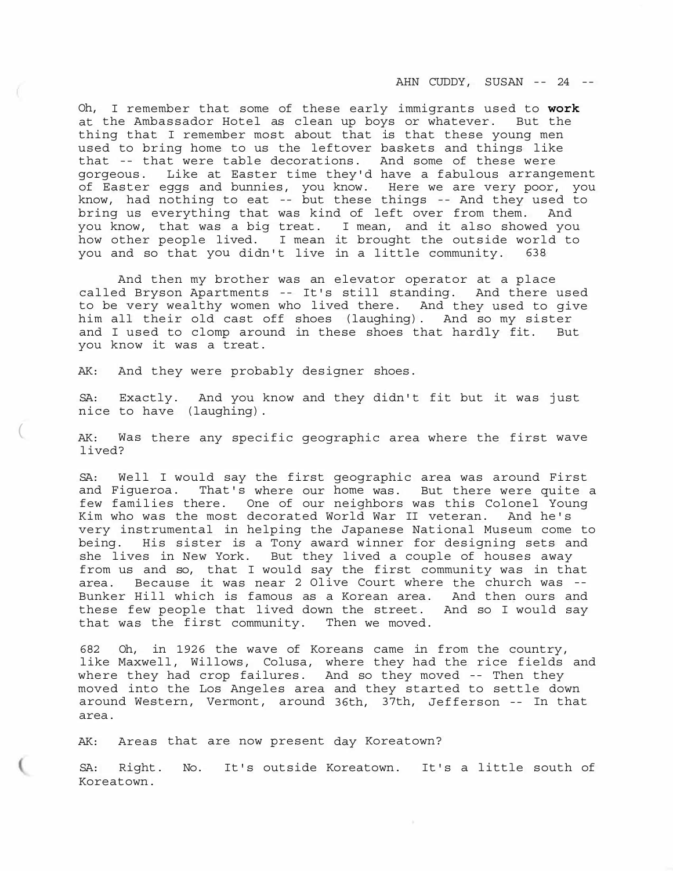AHN CUDDY, SUSAN -- 24 --

Oh, I remember that some of these early immigrants used to **work**  at the Ambassador Hotel as clean up boys or whatever. But the thing that I remember most about that is that these young men used to bring home to us the leftover baskets and things like that -- that were table decorations. And some of these were gorgeous. Like at Easter time they'd have a fabulous arrangement of Easter eggs and bunnies, you know. Here we are very poor, you know, had nothing to eat -- but these things -- And they used to bring us everything that was kind of left over from them. And you know, that was a big treat. I mean, and it also showed you how other people lived. I mean it brought the outside world to you and so that you didn't live in a little community. 638

And then my brother was an elevator operator at a place called Bryson Apartments -- It's still standing. And there used to be very wealthy women who lived there. And they used to give him all their old cast off shoes (laughing). And so my sister and I used to clomp around in these shoes that hardly fit. But you know it was a treat.

AK: And they were probably designer shoes.

SA: Exactly. And you know and they didn't fit but it was just nice to have (laughing).

AK: Was there any specific geographic area where the first wave lived?

SA: Well I would say the first geographic area was around First and Figueroa. That's where our home was. But there were quite a few families there. One of our neighbors was this Colonel Young Kim who was the most decorated World War II veteran. And he's very instrumental in helping the Japanese National Museum come to being. His sister is a Tony award winner for designing sets and she lives in New York. But they lived a couple of houses away from us and so, that I would say the first community was in that area. Because it was near 2 Olive Court where the church was -- Bunker Hill which is famous as a Korean area. And then ours and these few people that lived down the street. And so I would say that was the first community. Then we moved.

682 Oh, in 1926 the wave of Koreans came in from the country, like Maxwell, Willows, Colusa, where they had the rice fields and where they had crop failures. And so they moved -- Then they moved into the Los Angeles area and they started to settle down around Western, Vermont, around 36th, 37th, Jefferson -- In that area.

AK: Areas that are now present day Koreatown?

SA: Right. No. It's outside Koreatown. It's a little south of Koreatown.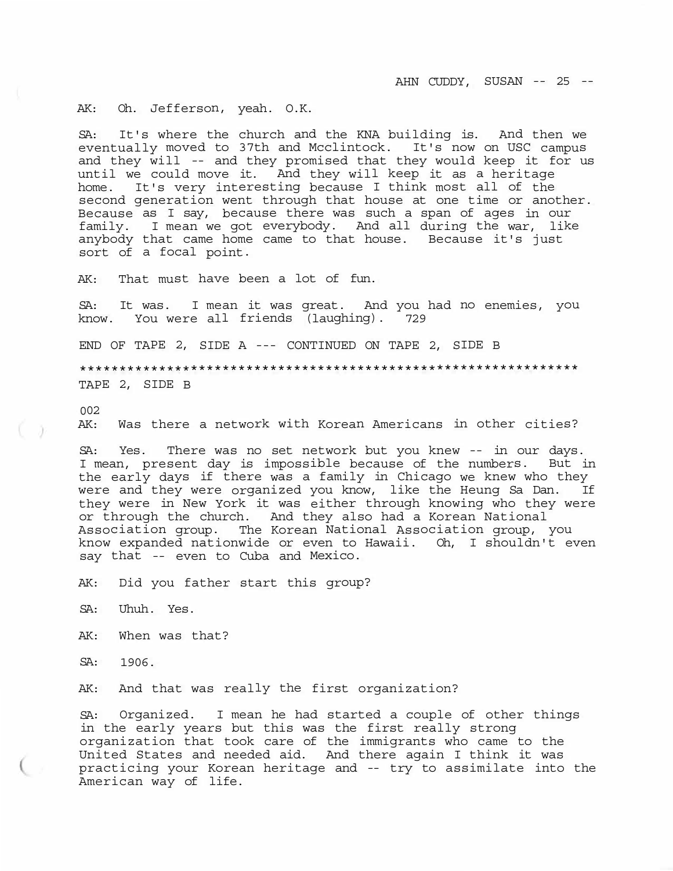AHN CUDDY, SUSAN -- 25 --

AK: Oh. Jefferson, yeah. O.K.

SA: It's where the church and the KNA building is. And then we eventually moved to 37th and Mcclintock. It's now on USC campus and they will -- and they promised that they would keep it for us until we could move it. And they will keep it as a heritage home. It's very interesting because I think most all of the second generation went through that house at one time or another. Because as I say, because there was such a span of ages in our family. I mean we got everybody. And all during the war, like anybody that came home came to that house. Because it's just sort of a focal point.

AK: That must have been a lot of fun.

SA: It was. I mean it was great. And you had no enemies, you know. You were all friends (laughing). 729

END OF TAPE 2, SIDE A --- CONTINUED ON TAPE 2, SIDE B

\*\*\*\*\*\*\*\*\*\*\*\*\*\*\*\*\*\*\*\*\*\*\*\*\*\*\*\*\*\*\*\*\*\*\*\*\*\*\*\*\*\*\*\*\*\*\*\*\*\*\*\*\*\*\*\*\*\*\*\*\*\*\* TAPE 2, SIDE B

002

AK: Was there a network with Korean Americans in other cities?

SA: Yes. There was no set network but you knew -- in our days. I mean, present day is impossible because of the numbers. But in the early days if there was a family in Chicago we knew who they were and they were organized you know, like the Heung Sa Dan. If they were in New York it was either through knowing who they were or through the church. And they also had a Korean National Association group. The Korean National Association group, you know expanded nationwide or even to Hawaii. Oh, I shouldn't even say that -- even to Cuba and Mexico.

AK: Did you father start this group?

SA: Uhuh. Yes.

AK: When was that?

SA: 1906.

AK: And that was really the first organization?

SA: Organized. I mean he had started a couple of other things in the early years but this was the first really strong organization that took care of the immigrants who came to the United States and needed aid. And there again I think it was practicing your Korean heritage and -- try to assimilate into the American way of life.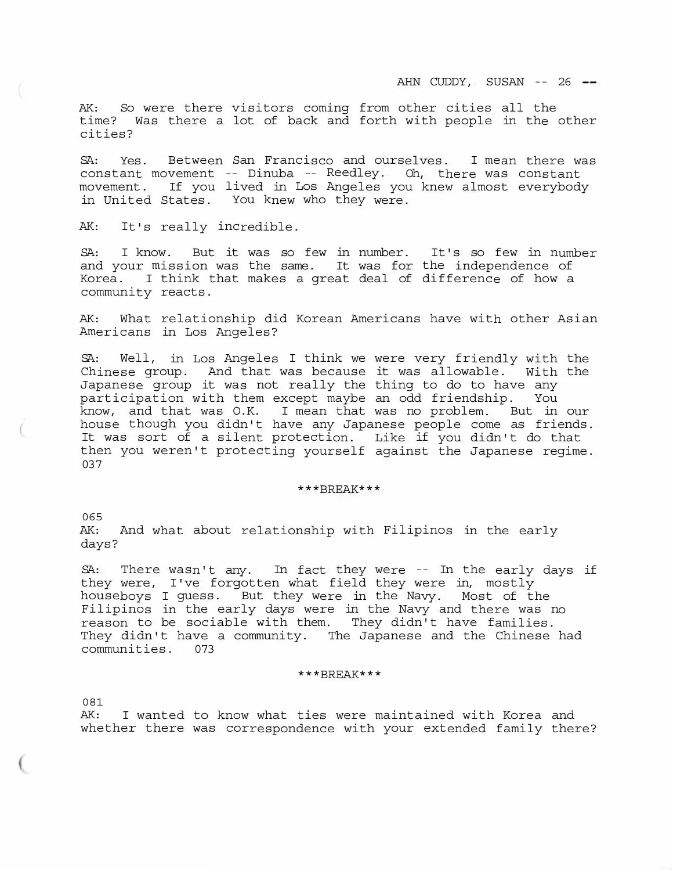AK: So were there visitors coming from other cities all the time? Was there a lot of back and forth with people in the other cities?

SA: Yes. Between San Francisco and ourselves. I mean there was constant movement -- Dinuba -- Reedley. Oh, there was constant movement. If you lived in Los Angeles you knew almost everybody in United States. You knew who they were.

AK: It's really incredible.

SA: I know. But it was so few in number. It's so few in number and your mission was the same. It was for the independence of Korea. I think that makes a great deal of difference of how a community reacts.

AK: What relationship did Korean Americans have with other Asian Americans in Los Angeles?

SA: Well, in Los Angeles I think we were very friendly with the Chinese group. And that was because it was allowable. With the Japanese group it was not really the thing to do to have any participation with them except maybe an odd friendship. You know, and that was O.K. I mean that was no problem. But in our house though you didn't have any Japanese people come as friends. It was sort of a silent protection. Like if you didn't do that then you weren't protecting yourself against the Japanese regime. 037

# \*\*\*BREAK\*\*\*

065 AK: And what about relationship with Filipinos in the early days?

SA: There wasn't any. In fact they were -- In the early days if they were, I've forgotten what field they were in, mostly houseboys I guess. But they were in the Navy. Most of the Filipinos in the early days were in the Navy and there was no reason to be sociable with them. They didn't have families. They didn't have a community. The Japanese and the Chinese had communities. 073

# \*\*\*BREAK\*\*\*

081

(

AK: I wanted to know what ties were maintained with Korea and whether there was correspondence with your extended family there?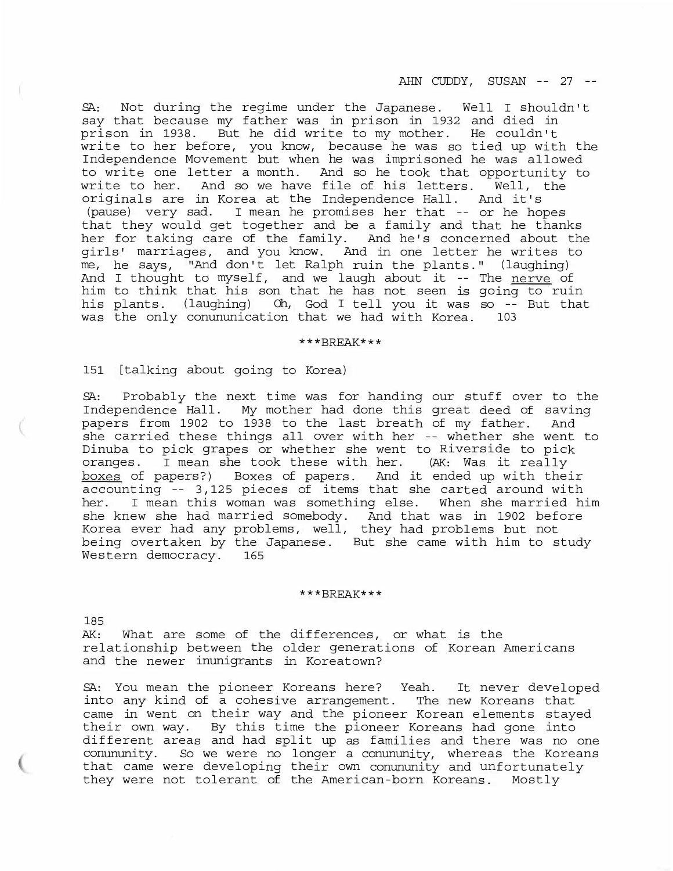AHN CUDDY, SUSAN -- 27 --

SA: Not during the regime under the Japanese. Well I shouldn't say that because my father was in prison in 1932 and died in prison in 1938. But he did write to my mother. He couldn't write to her before, you know, because he was so tied up with the Independence Movement but when he was imprisoned he was allowed to write one letter a month. And so he took that opportunity to write to her. And so we have file of his letters. Well, the originals are in Korea at the Independence Hall. And it's (pause) very sad. I mean he promises her that -- or he hopes that they would get together and be a family and that he thanks her for taking care of the family. And he's concerned about the girls' marriages, and you know. And in one letter he writes to me, he says, "And don't let Ralph ruin the plants." (laughing) And I thought to myself, and we laugh about it -- The nerve of him to think that his son that he has not seen is going to ruin his plants. (laughing) Oh, God I tell you it was so -- But that was the only conununication that we had with Korea. 103

#### \*\*\*BREAK\*\*\*

151 [talking about going to Korea)

SA: Probably the next time was for handing our stuff over to the Independence Hall. My mother had done this great deed of saving papers from 1902 to 1938 to the last breath of my father. And she carried these things all over with her -- whether she went to Dinuba to pick grapes or whether she went to Riverside to pick oranges. I mean she took these with her. (AK: Was it really boxes of papers?) Boxes of papers. And it ended up with their accounting -- 3,125 pieces of items that she carted around with her. I mean this woman was something else. When she married him she knew she had married somebody. And that was in 1902 before Korea ever had any problems, well, they had problems but not being overtaken by the Japanese. But she came with him to study Western democracy. 165

### \*\*\*BREAK\*\*\*

185

AK: What are some of the differences, or what is the relationship between the older generations of Korean Americans and the newer inunigrants in Koreatown?

SA: You mean the pioneer Koreans here? Yeah. It never developed into any kind of a cohesive arrangement. The new Koreans that came in went on their way and the pioneer Korean elements stayed their own way. By this time the pioneer Koreans had gone into different areas and had split up as families and there was no one conununity. So we were no longer a conununity, whereas the Koreans that came were developing their own conununity and unfortunately they were not tolerant of the American-born Koreans. Mostly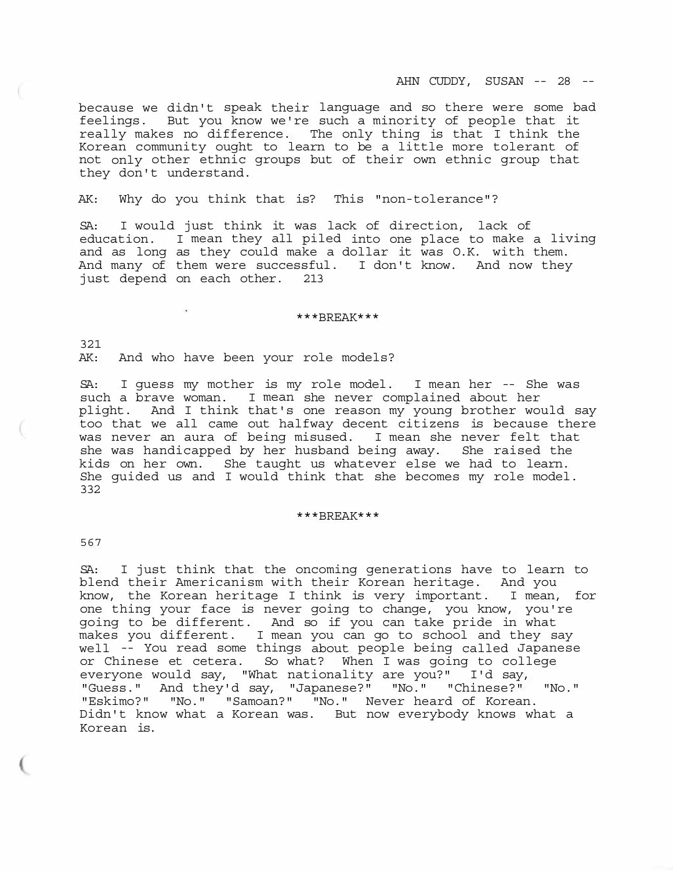because we didn't speak their language and so there were some bad feelings. But you know we're such a minority of people that it really makes no difference. The only thing is that I think the Korean community ought to learn to be a little more tolerant of not only other ethnic groups but of their own ethnic group that they don't understand.

AK: Why do you think that is? This "non-tolerance"?

SA: I would just think it was lack of direction, lack of education. I mean they all piled into one place to make a living and as long as they could make a dollar it was O.K. with them. And many of them were successful. I don't know. And now they just depend on each other. 213

### \*\*\*BREAK\*\*\*

321 AK: And who have been your role models?

SA: I guess my mother is my role model. I mean her -- She was such a brave woman. I mean she never complained about her plight. And I think that's one reason my young brother would say too that we all came out halfway decent citizens is because there was never an aura of being misused. I mean she never felt that she was handicapped by her husband being away. She raised the kids on her own. She taught us whatever else we had to learn. She guided us and I would think that she becomes my role model. 332

### \*\*\*BREAK\*\*\*

567

SA: I just think that the oncoming generations have to learn to blend their Americanism with their Korean heritage. And you know, the Korean heritage I think is very important. I mean, for one thing your face is never going to change, you know, you're going to be different. And so if you can take pride in what makes you different. I mean you can go to school and they say well -- You read some things about people being called Japanese or Chinese et cetera. So what? When I was going to college everyone would say, "What nationality are you?" I'd say, "Guess." And they'd say, "Japanese?" "No." "Chinese?" "No." "Eskimo?" "No." "Samoan?" "No." Never heard of Korean. Didn't know what a Korean was. But now everybody knows what a Korean is.